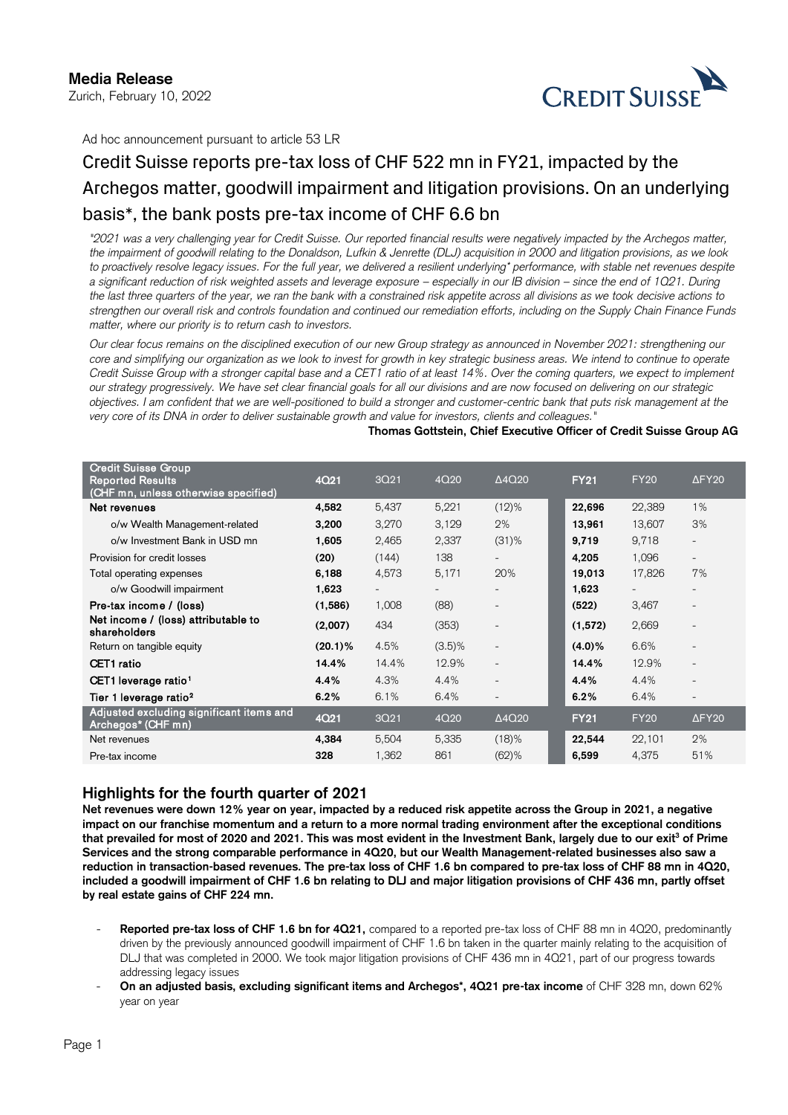# **Media Release**

Zurich, February 10, 2022



Zurich, February 10, 2022<br>Ad hoc announcement pursuant to article 53 LR

# Credit Suisse reports pre-tax loss of CHF 522 mn in FY21, impacted by the Archegos matter, goodwill impairment and litigation provisions. On an underlying basis\*, the bank posts pre-tax income of CHF 6.6 bn

a significant reduction of risk weighted assets and leverage exposure – especially in our IB division – since the end of 1Q21. During  *the last three quarters of the year, we ran the bank with a constrained risk appetite across all divisions as we took decisive actions to "2021 was a very challenging year for Credit Suisse. Our reported financial results were negatively impacted by the Archegos matter, the impairment of goodwill relating to the Donaldson, Lufkin & Jenrette (DLJ) acquisition in 2000 and litigation provisions, as we look to proactively resolve legacy issues. For the full year, we delivered a resilient underlying\* performance, with stable net revenues despite strengthen our overall risk and controls foundation and continued our remediation efforts, including on the Supply Chain Finance Funds matter, where our priority is to return cash to investors.* 

*Our clear focus remains on the disciplined execution of our new Group strategy as announced in November 2021: strengthening our core and simplifying our organization as we look to invest for growth in key strategic business areas. We intend to continue to operate Credit Suisse Group with a stronger capital base and a CET1 ratio of at least 14%. Over the coming quarters, we expect to implement our strategy progressively. We have set clear financial goals for all our divisions and are now focused on delivering on our strategic objectives. I am confident that we are well-positioned to build a stronger and customer-centric bank that puts risk management at the very core of its DNA in order to deliver sustainable growth and value for investors, clients and colleagues."* 

#### **Thomas Gottstein, Chief Executive Officer of Credit Suisse Group AG**

| <b>Credit Suisse Group</b><br><b>Reported Results</b><br>(CHF mn, unless otherwise specified) | <b>4Q21</b> | 3Q <sub>21</sub>         | 4Q20      | $\Delta$ 4Q20            | <b>FY21</b> | <b>FY20</b>              | $\Delta$ FY20             |
|-----------------------------------------------------------------------------------------------|-------------|--------------------------|-----------|--------------------------|-------------|--------------------------|---------------------------|
| Net revenues                                                                                  | 4,582       | 5,437                    | 5,221     | $(12)\%$                 | 22,696      | 22,389                   | 1%                        |
| o/w Wealth Management-related                                                                 | 3,200       | 3,270                    | 3,129     | 2%                       | 13,961      | 13,607                   | 3%                        |
| o/w Investment Bank in USD mn                                                                 | 1,605       | 2,465                    | 2,337     | $(31)$ %                 | 9.719       | 9,718                    | $\overline{\phantom{0}}$  |
| Provision for credit losses                                                                   | (20)        | (144)                    | 138       |                          | 4,205       | 1,096                    | $\overline{\phantom{0}}$  |
| Total operating expenses                                                                      | 6,188       | 4,573                    | 5,171     | 20%                      | 19,013      | 17,826                   | 7%                        |
| o/w Goodwill impairment                                                                       | 1,623       | $\overline{\phantom{a}}$ |           |                          | 1,623       | $\overline{\phantom{a}}$ | $\overline{\phantom{0}}$  |
| Pre-tax income / (loss)                                                                       | (1,586)     | 1,008                    | (88)      |                          | (522)       | 3,467                    | $\overline{\phantom{0}}$  |
| Net income / (loss) attributable to<br>shareholders                                           | (2,007)     | 434                      | (353)     |                          | (1, 572)    | 2,669                    | $\overline{\phantom{0}}$  |
| Return on tangible equity                                                                     | $(20.1)\%$  | 4.5%                     | $(3.5)\%$ | $\overline{\phantom{a}}$ | $(4.0)\%$   | 6.6%                     | $\overline{a}$            |
| <b>CET1</b> ratio                                                                             | 14.4%       | 14.4%                    | 12.9%     | $\overline{\phantom{0}}$ | 14.4%       | 12.9%                    | $\overline{\phantom{0}}$  |
| CET1 leverage ratio <sup>1</sup>                                                              | 4.4%        | 4.3%                     | 4.4%      | $\overline{\phantom{a}}$ | 4.4%        | 4.4%                     | $\overline{\phantom{0}}$  |
| Tier 1 leverage ratio <sup>2</sup>                                                            | 6.2%        | 6.1%                     | 6.4%      | $\overline{\phantom{a}}$ | 6.2%        | 6.4%                     | $\overline{\phantom{0}}$  |
| Adjusted excluding significant items and<br>Archegos* (CHF mn)                                | <b>4Q21</b> | 3Q21                     | 4Q20      | $\Delta 4Q20$            | <b>FY21</b> | <b>FY20</b>              | $\Delta$ FY <sub>20</sub> |
| Net revenues                                                                                  | 4.384       | 5,504                    | 5,335     | (18)%                    | 22,544      | 22,101                   | 2%                        |
| Pre-tax income                                                                                | 328         | 1,362                    | 861       | $(62)$ %                 | 6,599       | 4,375                    | 51%                       |

# **Highlights for the fourth quarter of 2021**

**Net revenues were down 12% year on year, impacted by a reduced risk appetite across the Group in 2021, a negative impact on our franchise momentum and a return to a more normal trading environment after the exceptional conditions**  that prevailed for most of 2020 and 2021. This was most evident in the Investment Bank, largely due to our exit<sup>3</sup> of Prime **Services and the strong comparable performance in 4Q20, but our Wealth Management-related businesses also saw a reduction in transaction-based revenues. The pre-tax loss of CHF 1.6 bn compared to pre-tax loss of CHF 88 mn in 4Q20, included a goodwill impairment of CHF 1.6 bn relating to DLJ and major litigation provisions of CHF 436 mn, partly offset by real estate gains of CHF 224 mn.** 

- **Reported pre-tax loss of CHF 1.6 bn for 4Q21,** compared to a reported pre-tax loss of CHF 88 mn in 4Q20, predominantly driven by the previously announced goodwill impairment of CHF 1.6 bn taken in the quarter mainly relating to the acquisition of DLJ that was completed in 2000. We took major litigation provisions of CHF 436 mn in 4Q21, part of our progress towards addressing legacy issues
- **On an adjusted basis, excluding significant items and Archegos\*, 4Q21 pre-tax income** of CHF 328 mn, down 62% year on year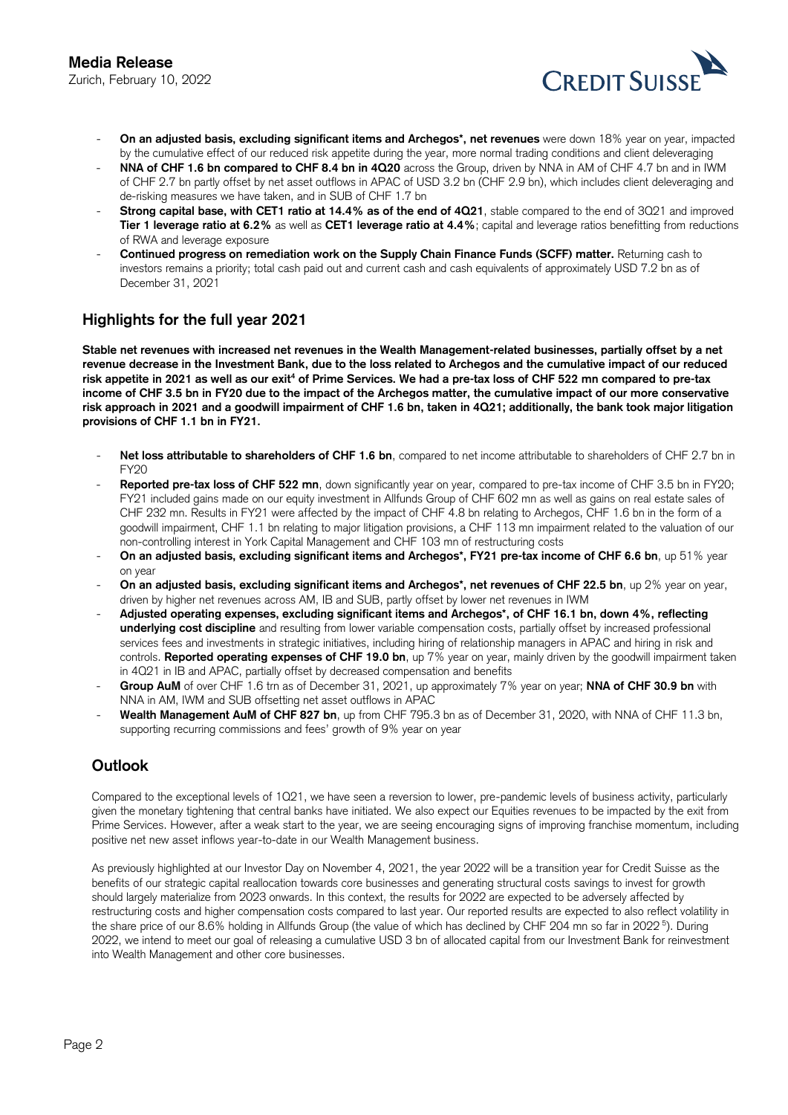

- ebruary 10, 2022<br> **On an adjusted basis, excluding significant items and Archegos\*, net revenues** were down 18% year on year, impacted by the cumulative effect of our reduced risk appetite during the year, more normal trading conditions and client deleveraging
- **NNA of CHF 1.6 bn compared to CHF 8.4 bn in 4Q20** across the Group, driven by NNA in AM of CHF 4.7 bn and in IWM of CHF 2.7 bn partly offset by net asset outflows in APAC of USD 3.2 bn (CHF 2.9 bn), which includes client deleveraging and de-risking measures we have taken, and in SUB of CHF 1.7 bn
- **Strong capital base, with CET1 ratio at 14.4% as of the end of 4Q21**, stable compared to the end of 3Q21 and improved **Tier 1 leverage ratio at 6.2%** as well as **CET1 leverage ratio at 4.4%**; capital and leverage ratios benefitting from reductions of RWA and leverage exposure
- **Continued progress on remediation work on the Supply Chain Finance Funds (SCFF) matter.** Returning cash to investors remains a priority; total cash paid out and current cash and cash equivalents of approximately USD 7.2 bn as of December 31, 2021

# **Highlights for the full year 2021**

**Stable net revenues with increased net revenues in the Wealth Management-related businesses, partially offset by a net revenue decrease in the Investment Bank, due to the loss related to Archegos and the cumulative impact of our reduced**  risk appetite in 2021 as well as our exit<sup>4</sup> of Prime Services. We had a pre-tax loss of CHF 522 mn compared to pre-tax **income of CHF 3.5 bn in FY20 due to the impact of the Archegos matter, the cumulative impact of our more conservative risk approach in 2021 and a goodwill impairment of CHF 1.6 bn, taken in 4Q21; additionally, the bank took major litigation provisions of CHF 1.1 bn in FY21.** 

- Net loss attributable to shareholders of CHF 1.6 bn, compared to net income attributable to shareholders of CHF 2.7 bn in FY20
- FY21 included gains made on our equity investment in Allfunds Group of CHF 602 mn as well as gains on real estate sales of Reported pre-tax loss of CHF 522 mn, down significantly year on year, compared to pre-tax income of CHF 3.5 bn in FY20; CHF 232 mn. Results in FY21 were affected by the impact of CHF 4.8 bn relating to Archegos, CHF 1.6 bn in the form of a goodwill impairment, CHF 1.1 bn relating to major litigation provisions, a CHF 113 mn impairment related to the valuation of our non-controlling interest in York Capital Management and CHF 103 mn of restructuring costs
- **On an adjusted basis, excluding significant items and Archegos\*, FY21 pre-tax income of CHF 6.6 bn**, up 51% year on year
- On an adjusted basis, excluding significant items and Archegos\*, net revenues of CHF 22.5 bn, up 2% year on year, driven by higher net revenues across AM, IB and SUB, partly offset by lower net revenues in IWM
- **Adjusted operating expenses, excluding significant items and Archegos\*, of CHF 16.1 bn, down 4%, reflecting underlying cost discipline** and resulting from lower variable compensation costs, partially offset by increased professional services fees and investments in strategic initiatives, including hiring of relationship managers in APAC and hiring in risk and controls. **Reported operating expenses of CHF 19.0 bn**, up 7% year on year, mainly driven by the goodwill impairment taken in 4Q21 in IB and APAC, partially offset by decreased compensation and benefits
- **Group AuM** of over CHF 1.6 trn as of December 31, 2021, up approximately 7% year on year; **NNA of CHF 30.9 bn** with NNA in AM, IWM and SUB offsetting net asset outflows in APAC
- - **Wealth Management AuM of CHF 827 bn**, up from CHF 795.3 bn as of December 31, 2020, with NNA of CHF 11.3 bn, supporting recurring commissions and fees' growth of 9% year on year

# **Outlook**

 given the monetary tightening that central banks have initiated. We also expect our Equities revenues to be impacted by the exit from Compared to the exceptional levels of 1Q21, we have seen a reversion to lower, pre-pandemic levels of business activity, particularly Prime Services. However, after a weak start to the year, we are seeing encouraging signs of improving franchise momentum, including positive net new asset inflows year-to-date in our Wealth Management business.

 the share price of our 8.6% holding in Allfunds Group (the value of which has declined by CHF 204 mn so far in 2022 5). During As previously highlighted at our Investor Day on November 4, 2021, the year 2022 will be a transition year for Credit Suisse as the benefits of our strategic capital reallocation towards core businesses and generating structural costs savings to invest for growth should largely materialize from 2023 onwards. In this context, the results for 2022 are expected to be adversely affected by restructuring costs and higher compensation costs compared to last year. Our reported results are expected to also reflect volatility in 2022, we intend to meet our goal of releasing a cumulative USD 3 bn of allocated capital from our Investment Bank for reinvestment into Wealth Management and other core businesses.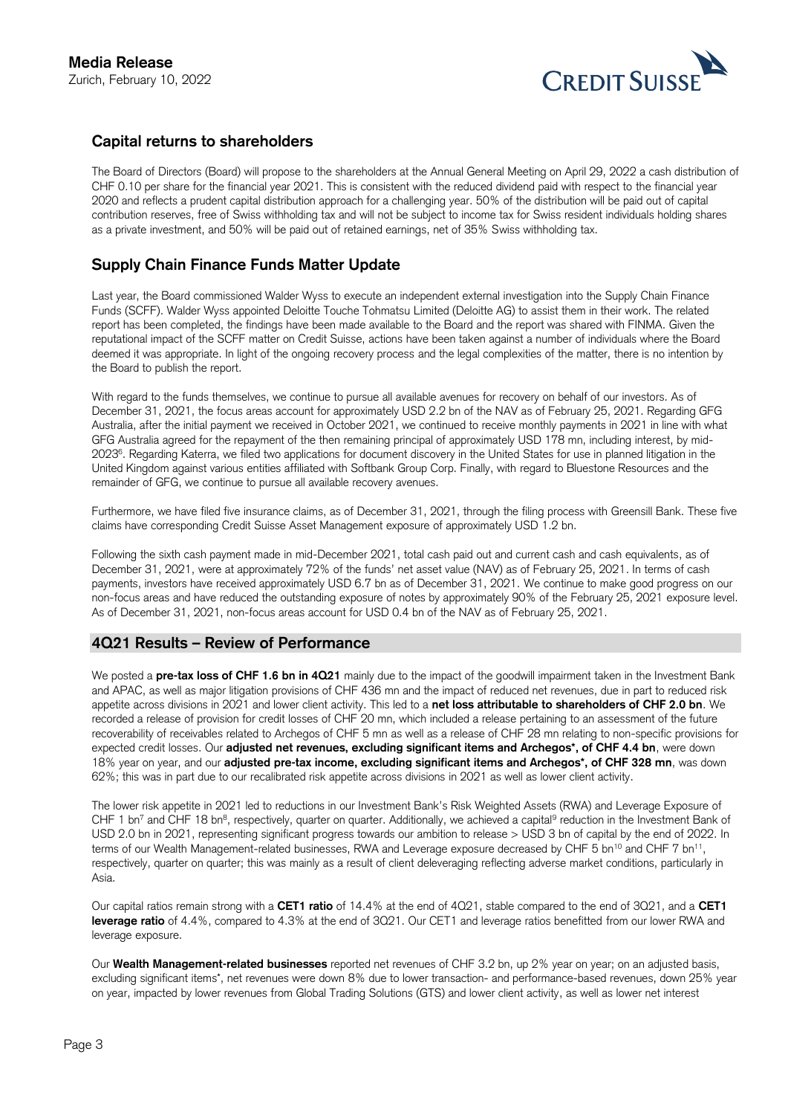

# **Capital returns to shareholders**

The Board of Directors (Board) will propose to the shareholders at the Annual General Meeting on April 29, 2022 a cash distribution of CHF 0.10 per share for the financial year 2021. This is consistent with the reduced dividend paid with respect to the financial year 2020 and reflects a prudent capital distribution approach for a challenging year. 50% of the distribution will be paid out of capital contribution reserves, free of Swiss withholding tax and will not be subject to income tax for Swiss resident individuals holding shares as a private investment, and 50% will be paid out of retained earnings, net of 35% Swiss withholding tax.

# **Supply Chain Finance Funds Matter Update**

 reputational impact of the SCFF matter on Credit Suisse, actions have been taken against a number of individuals where the Board Last year, the Board commissioned Walder Wyss to execute an independent external investigation into the Supply Chain Finance Funds (SCFF). Walder Wyss appointed Deloitte Touche Tohmatsu Limited (Deloitte AG) to assist them in their work. The related report has been completed, the findings have been made available to the Board and the report was shared with FINMA. Given the deemed it was appropriate. In light of the ongoing recovery process and the legal complexities of the matter, there is no intention by the Board to publish the report.

With regard to the funds themselves, we continue to pursue all available avenues for recovery on behalf of our investors. As of December 31, 2021, the focus areas account for approximately USD 2.2 bn of the NAV as of February 25, 2021. Regarding GFG Australia, after the initial payment we received in October 2021, we continued to receive monthly payments in 2021 in line with what GFG Australia agreed for the repayment of the then remaining principal of approximately USD 178 mn, including interest, by mid-20236. Regarding Katerra, we filed two applications for document discovery in the United States for use in planned litigation in the United Kingdom against various entities affiliated with Softbank Group Corp. Finally, with regard to Bluestone Resources and the remainder of GFG, we continue to pursue all available recovery avenues.

Furthermore, we have filed five insurance claims, as of December 31, 2021, through the filing process with Greensill Bank. These five claims have corresponding Credit Suisse Asset Management exposure of approximately USD 1.2 bn.

 payments, investors have received approximately USD 6.7 bn as of December 31, 2021. We continue to make good progress on our Following the sixth cash payment made in mid-December 2021, total cash paid out and current cash and cash equivalents, as of December 31, 2021, were at approximately 72% of the funds' net asset value (NAV) as of February 25, 2021. In terms of cash non-focus areas and have reduced the outstanding exposure of notes by approximately 90% of the February 25, 2021 exposure level. As of December 31, 2021, non-focus areas account for USD 0.4 bn of the NAV as of February 25, 2021.

# **4Q21 Results – Review of Performance**

We posted a **pre-tax loss of CHF 1.6 bn in 4Q21** mainly due to the impact of the goodwill impairment taken in the Investment Bank and APAC, as well as major litigation provisions of CHF 436 mn and the impact of reduced net revenues, due in part to reduced risk appetite across divisions in 2021 and lower client activity. This led to a **net loss attributable to shareholders of CHF 2.0 bn**. We recorded a release of provision for credit losses of CHF 20 mn, which included a release pertaining to an assessment of the future recoverability of receivables related to Archegos of CHF 5 mn as well as a release of CHF 28 mn relating to non-specific provisions for expected credit losses. Our **adjusted net revenues, excluding significant items and Archegos\*, of CHF 4.4 bn**, were down 18% year on year, and our **adjusted pre-tax income, excluding significant items and Archegos\*, of CHF 328 mn**, was down 62%; this was in part due to our recalibrated risk appetite across divisions in 2021 as well as lower client activity.

The lower risk appetite in 2021 led to reductions in our Investment Bank's Risk Weighted Assets (RWA) and Leverage Exposure of CHF 1 bn<sup>7</sup> and CHF 18 bn<sup>8</sup>, respectively, quarter on quarter. Additionally, we achieved a capital<sup>9</sup> reduction in the Investment Bank of USD 2.0 bn in 2021, representing significant progress towards our ambition to release > USD 3 bn of capital by the end of 2022. In terms of our Wealth Management-related businesses, RWA and Leverage exposure decreased by CHF 5 bn<sup>10</sup> and CHF 7 bn<sup>11</sup>, respectively, quarter on quarter; this was mainly as a result of client deleveraging reflecting adverse market conditions, particularly in Asia.

Our capital ratios remain strong with a **CET1 ratio** of 14.4% at the end of 4Q21, stable compared to the end of 3Q21, and a **CET1 leverage ratio** of 4.4%, compared to 4.3% at the end of 3Q21. Our CET1 and leverage ratios benefitted from our lower RWA and leverage exposure.

 excluding significant items\*, net revenues were down 8% due to lower transaction- and performance-based revenues, down 25% year Our **Wealth Management-related businesses** reported net revenues of CHF 3.2 bn, up 2% year on year; on an adjusted basis, on year, impacted by lower revenues from Global Trading Solutions (GTS) and lower client activity, as well as lower net interest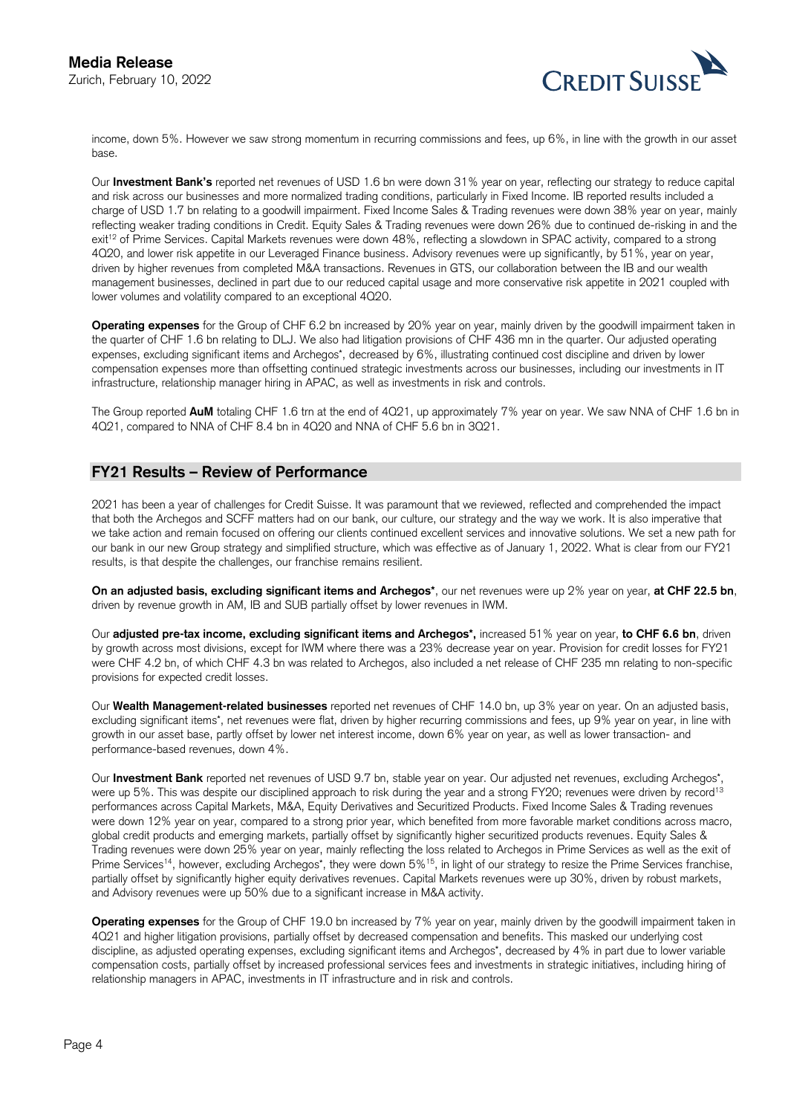

on, February 10, 2022<br>income, down 5%. However we saw strong momentum in recurring commissions and fees, up 6%, in line with the growth in our asset base.

exit<sup>12</sup> of Prime Services. Capital Markets revenues were down 48%, reflecting a slowdown in SPAC activity, compared to a strong Our **Investment Bank's** reported net revenues of USD 1.6 bn were down 31% year on year, reflecting our strategy to reduce capital and risk across our businesses and more normalized trading conditions, particularly in Fixed Income. IB reported results included a charge of USD 1.7 bn relating to a goodwill impairment. Fixed Income Sales & Trading revenues were down 38% year on year, mainly reflecting weaker trading conditions in Credit. Equity Sales & Trading revenues were down 26% due to continued de-risking in and the 4Q20, and lower risk appetite in our Leveraged Finance business. Advisory revenues were up significantly, by 51%, year on year, driven by higher revenues from completed M&A transactions. Revenues in GTS, our collaboration between the IB and our wealth management businesses, declined in part due to our reduced capital usage and more conservative risk appetite in 2021 coupled with lower volumes and volatility compared to an exceptional 4Q20.

 the quarter of CHF 1.6 bn relating to DLJ. We also had litigation provisions of CHF 436 mn in the quarter. Our adjusted operating **Operating expenses** for the Group of CHF 6.2 bn increased by 20% year on year, mainly driven by the goodwill impairment taken in expenses, excluding significant items and Archegos\*, decreased by 6%, illustrating continued cost discipline and driven by lower compensation expenses more than offsetting continued strategic investments across our businesses, including our investments in IT infrastructure, relationship manager hiring in APAC, as well as investments in risk and controls.

The Group reported **AuM** totaling CHF 1.6 trn at the end of 4Q21, up approximately 7% year on year. We saw NNA of CHF 1.6 bn in 4Q21, compared to NNA of CHF 8.4 bn in 4Q20 and NNA of CHF 5.6 bn in 3Q21.

# **FY21 Results – Review of Performance**

2021 has been a year of challenges for Credit Suisse. It was paramount that we reviewed, reflected and comprehended the impact that both the Archegos and SCFF matters had on our bank, our culture, our strategy and the way we work. It is also imperative that we take action and remain focused on offering our clients continued excellent services and innovative solutions. We set a new path for our bank in our new Group strategy and simplified structure, which was effective as of January 1, 2022. What is clear from our FY21 results, is that despite the challenges, our franchise remains resilient.

**On an adjusted basis, excluding significant items and Archegos\***, our net revenues were up 2% year on year, **at CHF 22.5 bn**, driven by revenue growth in AM, IB and SUB partially offset by lower revenues in IWM.

Our **adjusted pre-tax income, excluding significant items and Archegos\*,** increased 51% year on year, **to CHF 6.6 bn**, driven by growth across most divisions, except for IWM where there was a 23% decrease year on year. Provision for credit losses for FY21 were CHF 4.2 bn, of which CHF 4.3 bn was related to Archegos, also included a net release of CHF 235 mn relating to non-specific provisions for expected credit losses.

Our **Wealth Management-related businesses** reported net revenues of CHF 14.0 bn, up 3% year on year. On an adjusted basis, excluding significant items<sup>\*</sup>, net revenues were flat, driven by higher recurring commissions and fees, up 9% year on year, in line with growth in our asset base, partly offset by lower net interest income, down 6% year on year, as well as lower transaction- and performance-based revenues, down 4%.

were up 5%. This was despite our disciplined approach to risk during the year and a strong FY20; revenues were driven by record<sup>13</sup> and Advisory revenues were up 50% due to a significant increase in M&A activity. Our **Investment Bank** reported net revenues of USD 9.7 bn, stable year on year. Our adjusted net revenues, excluding Archegos\*, performances across Capital Markets, M&A, Equity Derivatives and Securitized Products. Fixed Income Sales & Trading revenues were down 12% year on year, compared to a strong prior year, which benefited from more favorable market conditions across macro, global credit products and emerging markets, partially offset by significantly higher securitized products revenues. Equity Sales & Trading revenues were down 25% year on year, mainly reflecting the loss related to Archegos in Prime Services as well as the exit of Prime Services<sup>14</sup>, however, excluding Archegos\*, they were down 5%<sup>15</sup>, in light of our strategy to resize the Prime Services franchise, partially offset by significantly higher equity derivatives revenues. Capital Markets revenues were up 30%, driven by robust markets,

 4Q21 and higher litigation provisions, partially offset by decreased compensation and benefits. This masked our underlying cost **Operating expenses** for the Group of CHF 19.0 bn increased by 7% year on year, mainly driven by the goodwill impairment taken in discipline, as adjusted operating expenses, excluding significant items and Archegos\*, decreased by 4% in part due to lower variable compensation costs, partially offset by increased professional services fees and investments in strategic initiatives, including hiring of relationship managers in APAC, investments in IT infrastructure and in risk and controls.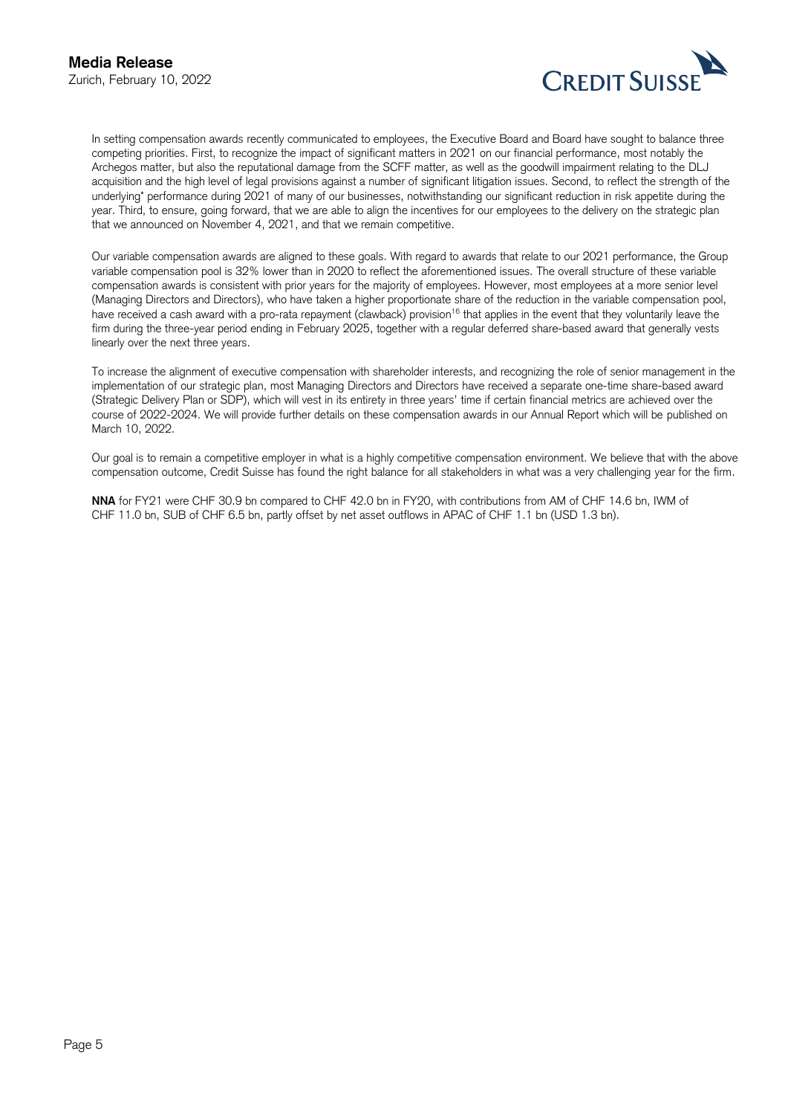

CREDIT SUISSE<br>In setting compensation awards recently communicated to employees, the Executive Board and Board have sought to balance three competing priorities. First, to recognize the impact of significant matters in 2021 on our financial performance, most notably the Archegos matter, but also the reputational damage from the SCFF matter, as well as the goodwill impairment relating to the DLJ acquisition and the high level of legal provisions against a number of significant litigation issues. Second, to reflect the strength of the underlying\* performance during 2021 of many of our businesses, notwithstanding our significant reduction in risk appetite during the year. Third, to ensure, going forward, that we are able to align the incentives for our employees to the delivery on the strategic plan that we announced on November 4, 2021, and that we remain competitive.

 firm during the three-year period ending in February 2025, together with a regular deferred share-based award that generally vests Our variable compensation awards are aligned to these goals. With regard to awards that relate to our 2021 performance, the Group variable compensation pool is 32% lower than in 2020 to reflect the aforementioned issues. The overall structure of these variable compensation awards is consistent with prior years for the majority of employees. However, most employees at a more senior level (Managing Directors and Directors), who have taken a higher proportionate share of the reduction in the variable compensation pool, have received a cash award with a pro-rata repayment (clawback) provision<sup>16</sup> that applies in the event that they voluntarily leave the linearly over the next three years.

 course of 2022-2024. We will provide further details on these compensation awards in our Annual Report which will be published on To increase the alignment of executive compensation with shareholder interests, and recognizing the role of senior management in the implementation of our strategic plan, most Managing Directors and Directors have received a separate one-time share-based award (Strategic Delivery Plan or SDP), which will vest in its entirety in three years' time if certain financial metrics are achieved over the March 10, 2022.

Our goal is to remain a competitive employer in what is a highly competitive compensation environment. We believe that with the above compensation outcome, Credit Suisse has found the right balance for all stakeholders in what was a very challenging year for the firm.

**NNA** for FY21 were CHF 30.9 bn compared to CHF 42.0 bn in FY20, with contributions from AM of CHF 14.6 bn, IWM of CHF 11.0 bn, SUB of CHF 6.5 bn, partly offset by net asset outflows in APAC of CHF 1.1 bn (USD 1.3 bn).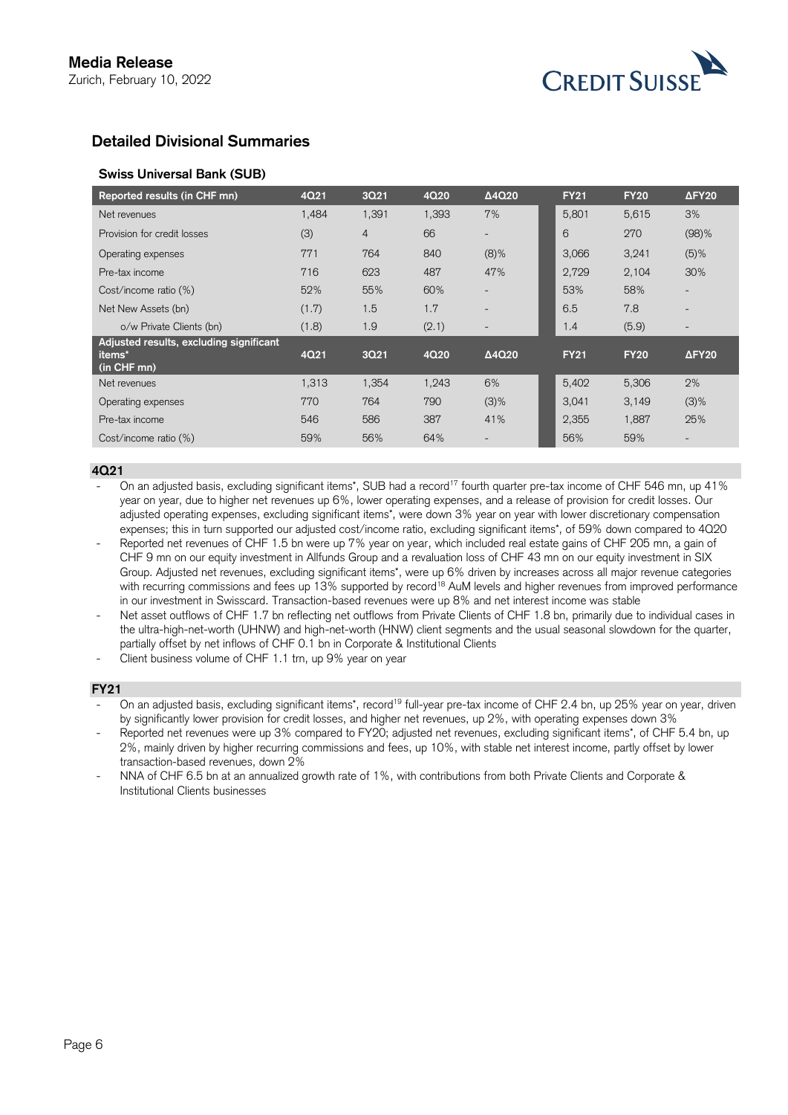

# **Detailed Divisional Summaries**

# **Swiss Universal Bank (SUB)**

| Reported results (in CHF mn)                      | 4Q21  | 3Q21           | 4Q20  | Δ4Q20                    | <b>FY21</b> | <b>FY20</b> | $\Delta$ FY <sub>20</sub> |
|---------------------------------------------------|-------|----------------|-------|--------------------------|-------------|-------------|---------------------------|
| Net revenues                                      | 1.484 | 1,391          | 1,393 | 7%                       | 5,801       | 5,615       | 3%                        |
| Provision for credit losses                       | (3)   | $\overline{4}$ | 66    | $\overline{\phantom{0}}$ | 6           | 270         | $(98)$ %                  |
| Operating expenses                                | 771   | 764            | 840   | $(8)\%$                  | 3,066       | 3,241       | $(5)$ %                   |
| Pre-tax income                                    | 716   | 623            | 487   | 47%                      | 2,729       | 2,104       | 30%                       |
| Cost/income ratio (%)                             | 52%   | 55%            | 60%   |                          | 53%         | 58%         |                           |
| Net New Assets (bn)                               | (1.7) | 1.5            | 1.7   | $\overline{\phantom{0}}$ | 6.5         | 7.8         | $\overline{\phantom{a}}$  |
| o/w Private Clients (bn)                          | (1.8) | 1.9            | (2.1) |                          | 1.4         | (5.9)       |                           |
| Adjusted results, excluding significant<br>items* | 4Q21  | 3Q21           | 4Q20  | $\Delta$ 4Q20            | <b>FY21</b> | <b>FY20</b> | $\Delta$ FY <sub>20</sub> |
| (in CHF mn)                                       |       |                |       |                          |             |             |                           |
| Net revenues                                      | 1,313 | 1,354          | 1,243 | 6%                       | 5,402       | 5,306       | 2%                        |
| Operating expenses                                | 770   | 764            | 790   | $(3)$ %                  | 3,041       | 3,149       | $(3)$ %                   |
| Pre-tax income                                    | 546   | 586            | 387   | 41%                      | 2,355       | 1,887       | 25%                       |
| Cost/income ratio (%)                             | 59%   | 56%            | 64%   | $\overline{\phantom{0}}$ | 56%         | 59%         | $\overline{\phantom{a}}$  |

#### **4Q21**

On an adjusted basis, excluding significant items\*, SUB had a record<sup>17</sup> fourth quarter pre-tax income of CHF 546 mn, up 41% year on year, due to higher net revenues up 6%, lower operating expenses, and a release of provision for credit losses. Our adjusted operating expenses, excluding significant items\*, were down 3% year on year with lower discretionary compensation expenses; this in turn supported our adjusted cost/income ratio, excluding significant items\*, of 59% down compared to 4Q20

- Reported net revenues of CHF 1.5 bn were up 7% year on year, which included real estate gains of CHF 205 mn, a gain of CHF 9 mn on our equity investment in Allfunds Group and a revaluation loss of CHF 43 mn on our equity investment in SIX Group. Adjusted net revenues, excluding significant items\*, were up 6% driven by increases across all major revenue categories with recurring commissions and fees up 13% supported by record<sup>18</sup> AuM levels and higher revenues from improved performance in our investment in Swisscard. Transaction-based revenues were up 8% and net interest income was stable
- Net asset outflows of CHF 1.7 bn reflecting net outflows from Private Clients of CHF 1.8 bn, primarily due to individual cases in the ultra-high-net-worth (UHNW) and high-net-worth (HNW) client segments and the usual seasonal slowdown for the quarter, partially offset by net inflows of CHF 0.1 bn in Corporate & Institutional Clients

Client business volume of CHF 1.1 trn, up 9% year on year

## **FY21**

On an adjusted basis, excluding significant items\*, record<sup>19</sup> full-year pre-tax income of CHF 2.4 bn, up 25% year on year, driven by significantly lower provision for credit losses, and higher net revenues, up 2%, with operating expenses down 3%

Reported net revenues were up 3% compared to FY20; adjusted net revenues, excluding significant items\*, of CHF 5.4 bn, up 2%, mainly driven by higher recurring commissions and fees, up 10%, with stable net interest income, partly offset by lower transaction-based revenues, down 2%

NNA of CHF 6.5 bn at an annualized growth rate of 1%, with contributions from both Private Clients and Corporate & Institutional Clients businesses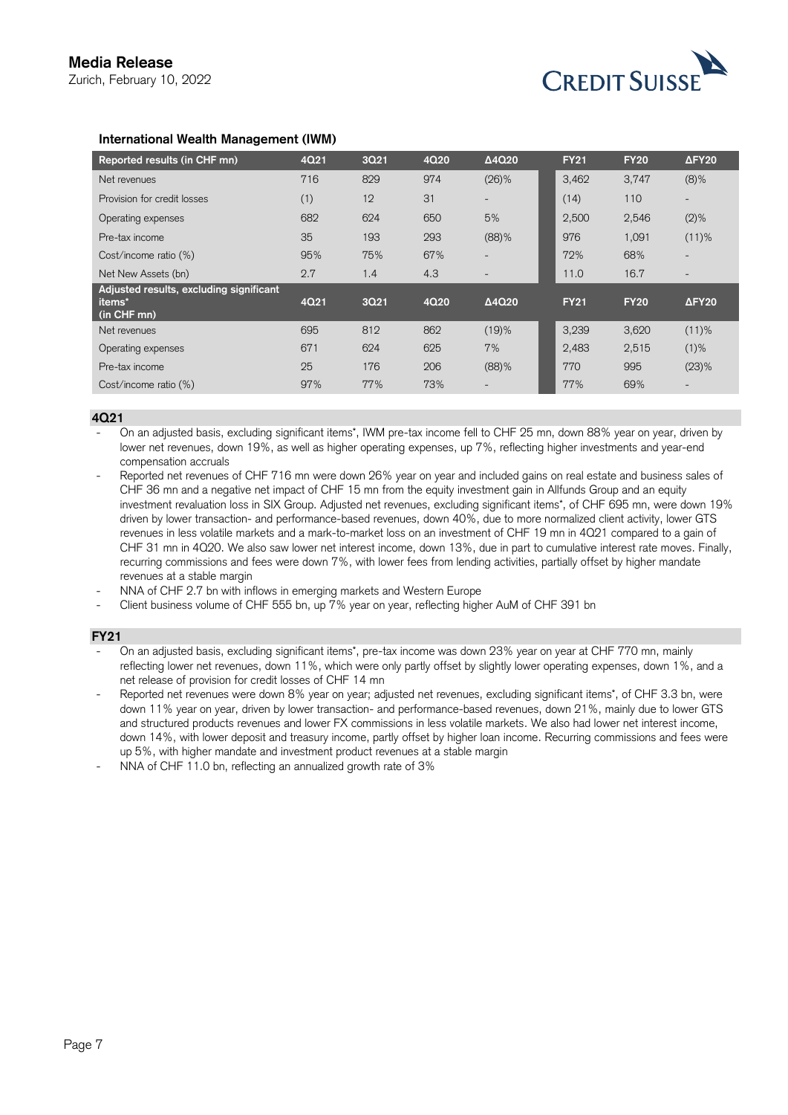

## **International Wealth Management (IWM)**

| Reported results (in CHF mn)                                                 | 4Q21 | 3Q21 | 4Q20 | $\Delta$ 4Q20            | <b>FY21</b> | <b>FY20</b> | $\Delta$ FY <sub>20</sub> |
|------------------------------------------------------------------------------|------|------|------|--------------------------|-------------|-------------|---------------------------|
| Net revenues                                                                 | 716  | 829  | 974  | $(26)\%$                 | 3.462       | 3,747       | $(8)\%$                   |
| Provision for credit losses                                                  | (1)  | 12   | 31   | $\overline{\phantom{0}}$ | (14)        | 110         | $\overline{\phantom{a}}$  |
| Operating expenses                                                           | 682  | 624  | 650  | 5%                       | 2,500       | 2,546       | $(2)$ %                   |
| Pre-tax income                                                               | 35   | 193  | 293  | (88)%                    | 976         | 1,091       | $(11)$ %                  |
| Cost/income ratio (%)                                                        | 95%  | 75%  | 67%  | $\overline{\phantom{a}}$ | 72%         | 68%         | $\overline{\phantom{a}}$  |
| Net New Assets (bn)                                                          | 2.7  | 1.4  | 4.3  |                          | 11.0        | 16.7        | $\overline{\phantom{0}}$  |
| Adjusted results, excluding significant<br>items <sup>*</sup><br>(in CHF mn) | 4Q21 | 3Q21 | 4Q20 | $\Delta$ 4Q20            | <b>FY21</b> | <b>FY20</b> | $\Delta$ FY <sub>20</sub> |
| Net revenues                                                                 | 695  | 812  | 862  | (19)%                    | 3,239       | 3,620       | $(11)$ %                  |
| Operating expenses                                                           | 671  | 624  | 625  | 7%                       | 2,483       | 2,515       | $(1)$ %                   |
| Pre-tax income                                                               | 25   | 176  | 206  | (88)%                    | 770         | 995         | $(23)$ %                  |
| Cost/income ratio (%)                                                        | 97%  | 77%  | 73%  | $\overline{\phantom{a}}$ | 77%         | 69%         | $\overline{\phantom{a}}$  |

#### **4Q21**

- On an adjusted basis, excluding significant items\*, IWM pre-tax income fell to CHF 25 mn, down 88% year on year, driven by lower net revenues, down 19%, as well as higher operating expenses, up 7%, reflecting higher investments and year-end compensation accruals

- CHF 36 mn and a negative net impact of CHF 15 mn from the equity investment gain in Allfunds Group and an equity recurring commissions and fees were down 7%, with lower fees from lending activities, partially offset by higher mandate Reported net revenues of CHF 716 mn were down 26% year on year and included gains on real estate and business sales of investment revaluation loss in SIX Group. Adjusted net revenues, excluding significant items\*, of CHF 695 mn, were down 19% driven by lower transaction- and performance-based revenues, down 40%, due to more normalized client activity, lower GTS revenues in less volatile markets and a mark-to-market loss on an investment of CHF 19 mn in 4Q21 compared to a gain of CHF 31 mn in 4Q20. We also saw lower net interest income, down 13%, due in part to cumulative interest rate moves. Finally, revenues at a stable margin
- NNA of CHF 2.7 bn with inflows in emerging markets and Western Europe
- Client business volume of CHF 555 bn, up 7% year on year, reflecting higher AuM of CHF 391 bn

#### **FY21**

- On an adjusted basis, excluding significant items\*, pre-tax income was down 23% year on year at CHF 770 mn, mainly reflecting lower net revenues, down 11%, which were only partly offset by slightly lower operating expenses, down 1%, and a net release of provision for credit losses of CHF 14 mn
- Reported net revenues were down 8% year on year; adjusted net revenues, excluding significant items\*, of CHF 3.3 bn, were down 11% year on year, driven by lower transaction- and performance-based revenues, down 21%, mainly due to lower GTS and structured products revenues and lower FX commissions in less volatile markets. We also had lower net interest income, down 14%, with lower deposit and treasury income, partly offset by higher loan income. Recurring commissions and fees were up 5%, with higher mandate and investment product revenues at a stable margin
- NNA of CHF 11.0 bn, reflecting an annualized growth rate of 3%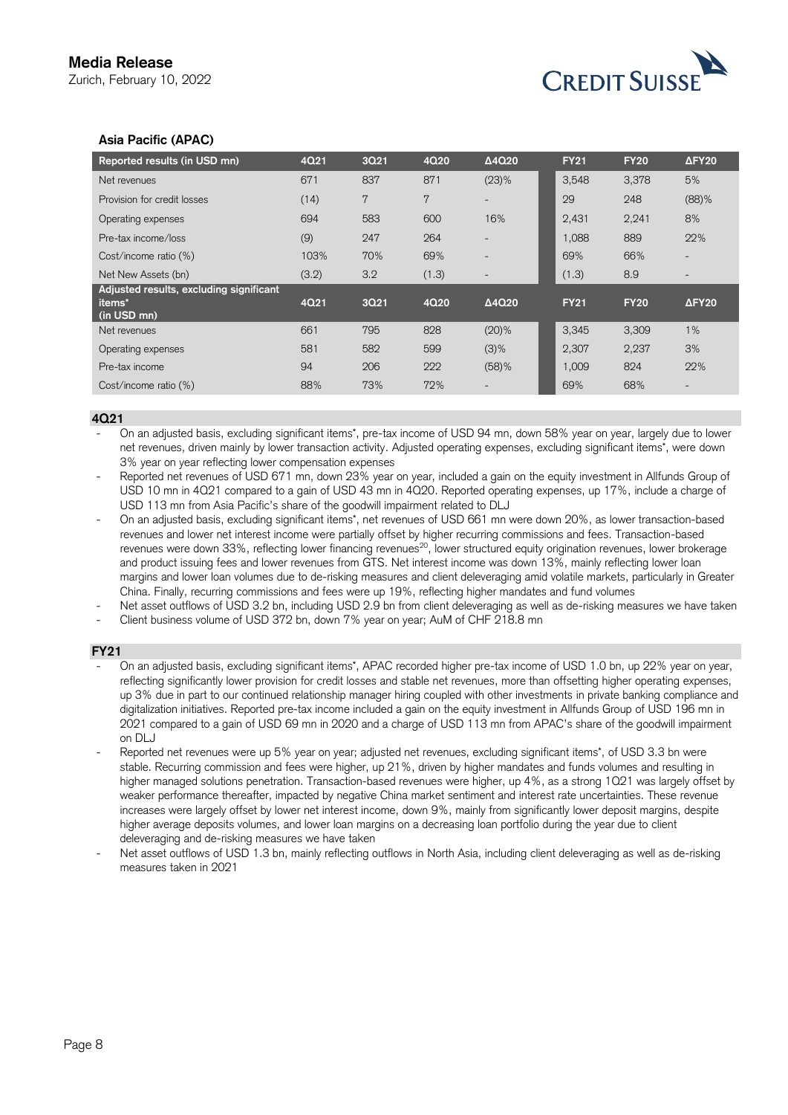

# **Asia Pacific (APAC)**

| Reported results (in USD mn)                                     | 4Q21  | 3Q21 | 4Q20  | $\Delta$ 4Q20            | <b>FY21</b> | <b>FY20</b> | $\Delta$ FY <sub>20</sub> |
|------------------------------------------------------------------|-------|------|-------|--------------------------|-------------|-------------|---------------------------|
| Net revenues                                                     | 671   | 837  | 871   | (23)%                    | 3,548       | 3,378       | 5%                        |
| Provision for credit losses                                      | (14)  | 7    | 7     | $\overline{\phantom{0}}$ | 29          | 248         | (88)%                     |
| Operating expenses                                               | 694   | 583  | 600   | 16%                      | 2,431       | 2,241       | 8%                        |
| Pre-tax income/loss                                              | (9)   | 247  | 264   |                          | 1,088       | 889         | 22%                       |
| Cost/income ratio (%)                                            | 103%  | 70%  | 69%   |                          | 69%         | 66%         |                           |
| Net New Assets (bn)                                              | (3.2) | 3.2  | (1.3) | $\overline{\phantom{0}}$ | (1.3)       | 8.9         |                           |
| Adjusted results, excluding significant<br>items*<br>(in USD mn) | 4Q21  | 3Q21 | 4Q20  | $\Delta$ 4Q20            | <b>FY21</b> | <b>FY20</b> | $\Delta$ FY <sub>20</sub> |
| Net revenues                                                     | 661   | 795  | 828   | $(20)$ %                 | 3.345       | 3,309       | 1%                        |
| Operating expenses                                               | 581   | 582  | 599   | $(3)$ %                  | 2,307       | 2,237       | 3%                        |
| Pre-tax income                                                   | 94    | 206  | 222   | $(58)$ %                 | 1,009       | 824         | 22%                       |
| Cost/income ratio (%)                                            | 88%   | 73%  | 72%   |                          | 69%         | 68%         |                           |

#### **4Q21**

- On an adjusted basis, excluding significant items\*, pre-tax income of USD 94 mn, down 58% year on year, largely due to lower net revenues, driven mainly by lower transaction activity. Adjusted operating expenses, excluding significant items\*, were down 3% year on year reflecting lower compensation expenses

- Reported net revenues of USD 671 mn, down 23% year on year, included a gain on the equity investment in Allfunds Group of USD 10 mn in 4Q21 compared to a gain of USD 43 mn in 4Q20. Reported operating expenses, up 17%, include a charge of USD 113 mn from Asia Pacific's share of the goodwill impairment related to DLJ
- On an adjusted basis, excluding significant items\*, net revenues of USD 661 mn were down 20%, as lower transaction-based revenues and lower net interest income were partially offset by higher recurring commissions and fees. Transaction-based revenues were down 33%, reflecting lower financing revenues<sup>20</sup>, lower structured equity origination revenues, lower brokerage and product issuing fees and lower revenues from GTS. Net interest income was down 13%, mainly reflecting lower loan margins and lower loan volumes due to de-risking measures and client deleveraging amid volatile markets, particularly in Greater China. Finally, recurring commissions and fees were up 19%, reflecting higher mandates and fund volumes
- Net asset outflows of USD 3.2 bn, including USD 2.9 bn from client deleveraging as well as de-risking measures we have taken
- Client business volume of USD 372 bn, down 7% year on year; AuM of CHF 218.8 mn

#### **FY21**

- On an adjusted basis, excluding significant items\*, APAC recorded higher pre-tax income of USD 1.0 bn, up 22% year on year, reflecting significantly lower provision for credit losses and stable net revenues, more than offsetting higher operating expenses, up 3% due in part to our continued relationship manager hiring coupled with other investments in private banking compliance and digitalization initiatives. Reported pre-tax income included a gain on the equity investment in Allfunds Group of USD 196 mn in 2021 compared to a gain of USD 69 mn in 2020 and a charge of USD 113 mn from APAC's share of the goodwill impairment on DLJ
- higher average deposits volumes, and lower loan margins on a decreasing loan portfolio during the year due to client Reported net revenues were up 5% year on year; adjusted net revenues, excluding significant items\*, of USD 3.3 bn were stable. Recurring commission and fees were higher, up 21%, driven by higher mandates and funds volumes and resulting in higher managed solutions penetration. Transaction-based revenues were higher, up 4%, as a strong 1Q21 was largely offset by weaker performance thereafter, impacted by negative China market sentiment and interest rate uncertainties. These revenue increases were largely offset by lower net interest income, down 9%, mainly from significantly lower deposit margins, despite deleveraging and de-risking measures we have taken
- Net asset outflows of USD 1.3 bn, mainly reflecting outflows in North Asia, including client deleveraging as well as de-risking measures taken in 2021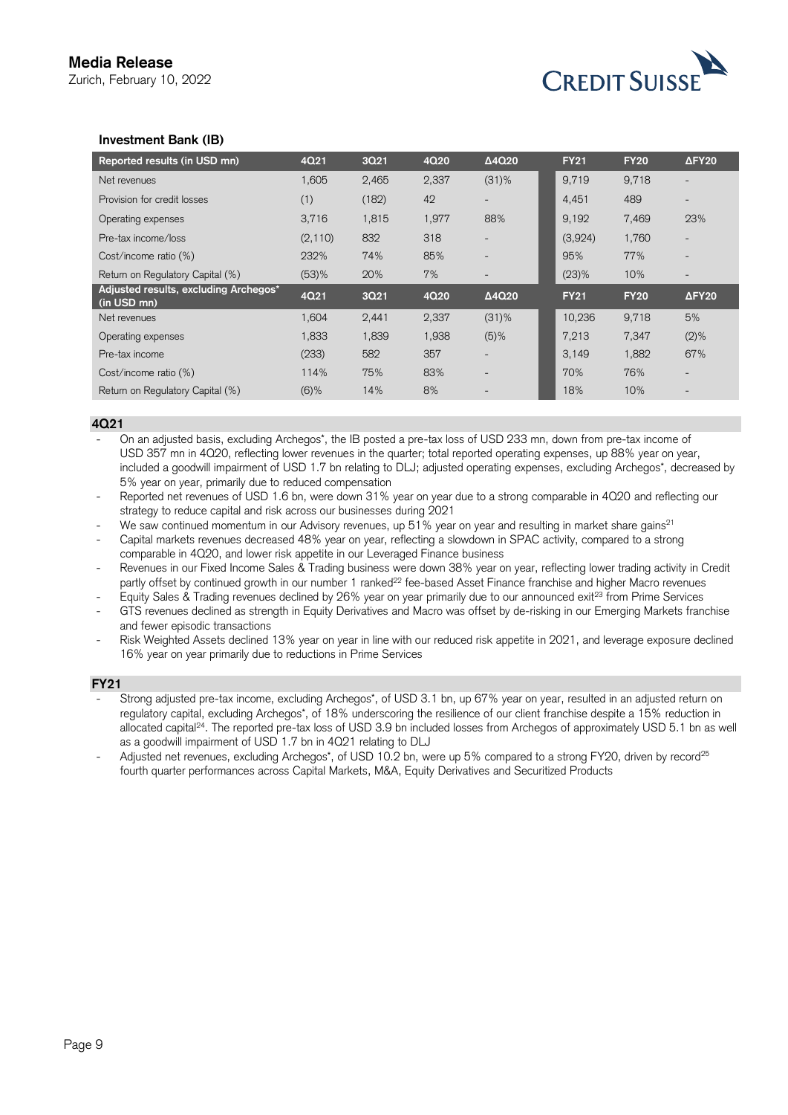

## **Investment Bank (IB)**

| Reported results (in USD mn)                         | 4Q21     | 3Q21  | 4Q20  | Δ4Q20                    | <b>FY21</b> | <b>FY20</b> | $\Delta$ FY <sub>20</sub> |
|------------------------------------------------------|----------|-------|-------|--------------------------|-------------|-------------|---------------------------|
| Net revenues                                         | 1.605    | 2,465 | 2,337 | $(31)\%$                 | 9.719       | 9,718       |                           |
| Provision for credit losses                          | (1)      | (182) | 42    |                          | 4,451       | 489         |                           |
| Operating expenses                                   | 3,716    | 1,815 | 1,977 | 88%                      | 9,192       | 7,469       | 23%                       |
| Pre-tax income/loss                                  | (2, 110) | 832   | 318   |                          | (3,924)     | 1,760       |                           |
| Cost/income ratio (%)                                | 232%     | 74%   | 85%   |                          | 95%         | 77%         |                           |
| Return on Regulatory Capital (%)                     | $(53)$ % | 20%   | 7%    |                          | $(23)$ %    | 10%         |                           |
| Adjusted results, excluding Archegos*<br>(in USD mn) | 4Q21     | 3Q21  | 4Q20  | $\Delta$ 4Q20            | <b>FY21</b> | <b>FY20</b> | $\Delta$ FY20             |
| Net revenues                                         | 1.604    | 2,441 | 2,337 | $(31)\%$                 | 10,236      | 9,718       | 5%                        |
| Operating expenses                                   | 1,833    | 1,839 | 1,938 | $(5)$ %                  | 7,213       | 7,347       | $(2)$ %                   |
| Pre-tax income                                       | (233)    | 582   | 357   |                          | 3.149       | 1,882       | 67%                       |
| Cost/income ratio (%)                                | 114%     | 75%   | 83%   | $\overline{\phantom{a}}$ | 70%         | 76%         |                           |
| Return on Regulatory Capital (%)                     | $(6)$ %  | 14%   | 8%    |                          | 18%         | 10%         |                           |

#### **4Q21**

- On an adjusted basis, excluding Archegos\*, the IB posted a pre-tax loss of USD 233 mn, down from pre-tax income of USD 357 mn in 4Q20, reflecting lower revenues in the quarter; total reported operating expenses, up 88% year on year, included a goodwill impairment of USD 1.7 bn relating to DLJ; adjusted operating expenses, excluding Archegos\*, decreased by 5% year on year, primarily due to reduced compensation

- - Reported net revenues of USD 1.6 bn, were down 31% year on year due to a strong comparable in 4Q20 and reflecting our strategy to reduce capital and risk across our businesses during 2021
- We saw continued momentum in our Advisory revenues, up 51% year on year and resulting in market share gains<sup>21</sup>
- Capital markets revenues decreased 48% year on year, reflecting a slowdown in SPAC activity, compared to a strong comparable in 4Q20, and lower risk appetite in our Leveraged Finance business
- Revenues in our Fixed Income Sales & Trading business were down 38% year on year, reflecting lower trading activity in Credit partly offset by continued growth in our number 1 ranked<sup>22</sup> fee-based Asset Finance franchise and higher Macro revenues
	- Equity Sales & Trading revenues declined by 26% year on year primarily due to our announced exit<sup>23</sup> from Prime Services
- GTS revenues declined as strength in Equity Derivatives and Macro was offset by de-risking in our Emerging Markets franchise and fewer episodic transactions
- - Risk Weighted Assets declined 13% year on year in line with our reduced risk appetite in 2021, and leverage exposure declined 16% year on year primarily due to reductions in Prime Services

#### **FY21**

- Strong adjusted pre-tax income, excluding Archegos\*, of USD 3.1 bn, up 67% year on year, resulted in an adjusted return on regulatory capital, excluding Archegos\*, of 18% underscoring the resilience of our client franchise despite a 15% reduction in allocated capital<sup>24</sup>. The reported pre-tax loss of USD 3.9 bn included losses from Archegos of approximately USD 5.1 bn as well as a goodwill impairment of USD 1.7 bn in 4Q21 relating to DLJ
- Adjusted net revenues, excluding Archegos\*, of USD 10.2 bn, were up 5% compared to a strong FY20, driven by record<sup>25</sup> fourth quarter performances across Capital Markets, M&A, Equity Derivatives and Securitized Products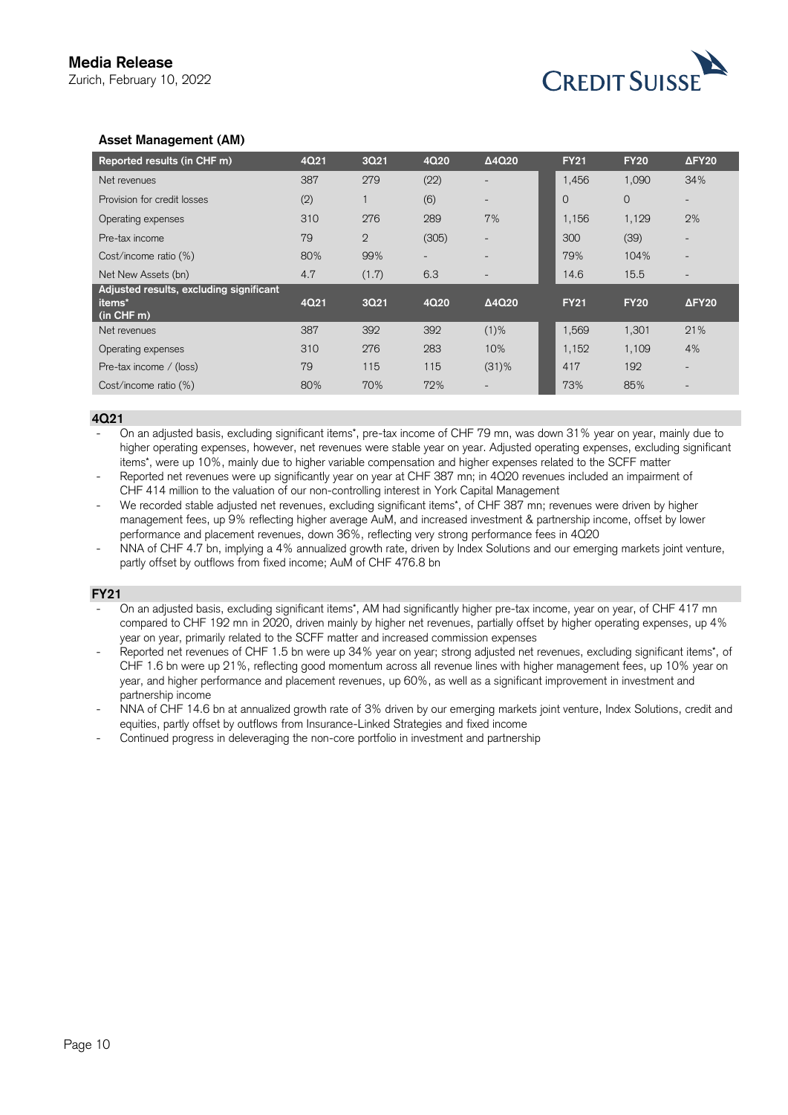

# **Asset Management (AM)**

| Reported results (in CHF m)                                                     | 4Q21 | 3Q21           | 4Q20                     | $\Delta$ 4Q20            | <b>FY21</b> | <b>FY20</b> | $\Delta$ FY <sub>20</sub> |
|---------------------------------------------------------------------------------|------|----------------|--------------------------|--------------------------|-------------|-------------|---------------------------|
| Net revenues                                                                    | 387  | 279            | (22)                     |                          | 1,456       | 1,090       | 34%                       |
| Provision for credit losses                                                     | (2)  |                | (6)                      |                          | $\Omega$    | $\circ$     |                           |
| Operating expenses                                                              | 310  | 276            | 289                      | 7%                       | 1,156       | 1,129       | 2%                        |
| Pre-tax income                                                                  | 79   | $\overline{2}$ | (305)                    | $\overline{\phantom{0}}$ | 300         | (39)        |                           |
| Cost/income ratio (%)                                                           | 80%  | 99%            | $\overline{\phantom{a}}$ | $\overline{\phantom{a}}$ | 79%         | 104%        | $\overline{\phantom{0}}$  |
| Net New Assets (bn)                                                             | 4.7  | (1.7)          | 6.3                      |                          | 14.6        | 15.5        |                           |
| Adjusted results, excluding significant<br>items <sup>*</sup><br>$(in$ CHF $m)$ | 4Q21 | 3Q21           | 4Q20                     | $\Delta$ 4Q20            | <b>FY21</b> | <b>FY20</b> | $\Delta$ FY <sub>20</sub> |
| Net revenues                                                                    | 387  | 392            | 392                      | $(1)$ %                  | 1,569       | 1,301       | 21%                       |
| Operating expenses                                                              | 310  | 276            | 283                      | 10%                      | 1,152       | 1,109       | 4%                        |
| Pre-tax income / (loss)                                                         | 79   | 115            | 115                      | $(31)$ %                 | 417         | 192         |                           |
| Cost/income ratio (%)                                                           | 80%  | 70%            | 72%                      | $\overline{\phantom{0}}$ | 73%         | 85%         | $\overline{\phantom{0}}$  |

#### **4Q21**

 items\*, were up 10%, mainly due to higher variable compensation and higher expenses related to the SCFF matter - On an adjusted basis, excluding significant items\*, pre-tax income of CHF 79 mn, was down 31% year on year, mainly due to higher operating expenses, however, net revenues were stable year on year. Adjusted operating expenses, excluding significant

- Reported net revenues were up significantly year on year at CHF 387 mn; in 4Q20 revenues included an impairment of CHF 414 million to the valuation of our non-controlling interest in York Capital Management

We recorded stable adjusted net revenues, excluding significant items\*, of CHF 387 mn; revenues were driven by higher management fees, up 9% reflecting higher average AuM, and increased investment & partnership income, offset by lower performance and placement revenues, down 36%, reflecting very strong performance fees in 4Q20

NNA of CHF 4.7 bn, implying a 4% annualized growth rate, driven by Index Solutions and our emerging markets joint venture, partly offset by outflows from fixed income; AuM of CHF 476.8 bn

#### **FY21**

- On an adjusted basis, excluding significant items\*, AM had significantly higher pre-tax income, year on year, of CHF 417 mn compared to CHF 192 mn in 2020, driven mainly by higher net revenues, partially offset by higher operating expenses, up 4% year on year, primarily related to the SCFF matter and increased commission expenses

Reported net revenues of CHF 1.5 bn were up 34% year on year; strong adjusted net revenues, excluding significant items\*, of CHF 1.6 bn were up 21%, reflecting good momentum across all revenue lines with higher management fees, up 10% year on year, and higher performance and placement revenues, up 60%, as well as a significant improvement in investment and partnership income

NNA of CHF 14.6 bn at annualized growth rate of 3% driven by our emerging markets joint venture, Index Solutions, credit and equities, partly offset by outflows from Insurance-Linked Strategies and fixed income

- Continued progress in deleveraging the non-core portfolio in investment and partnership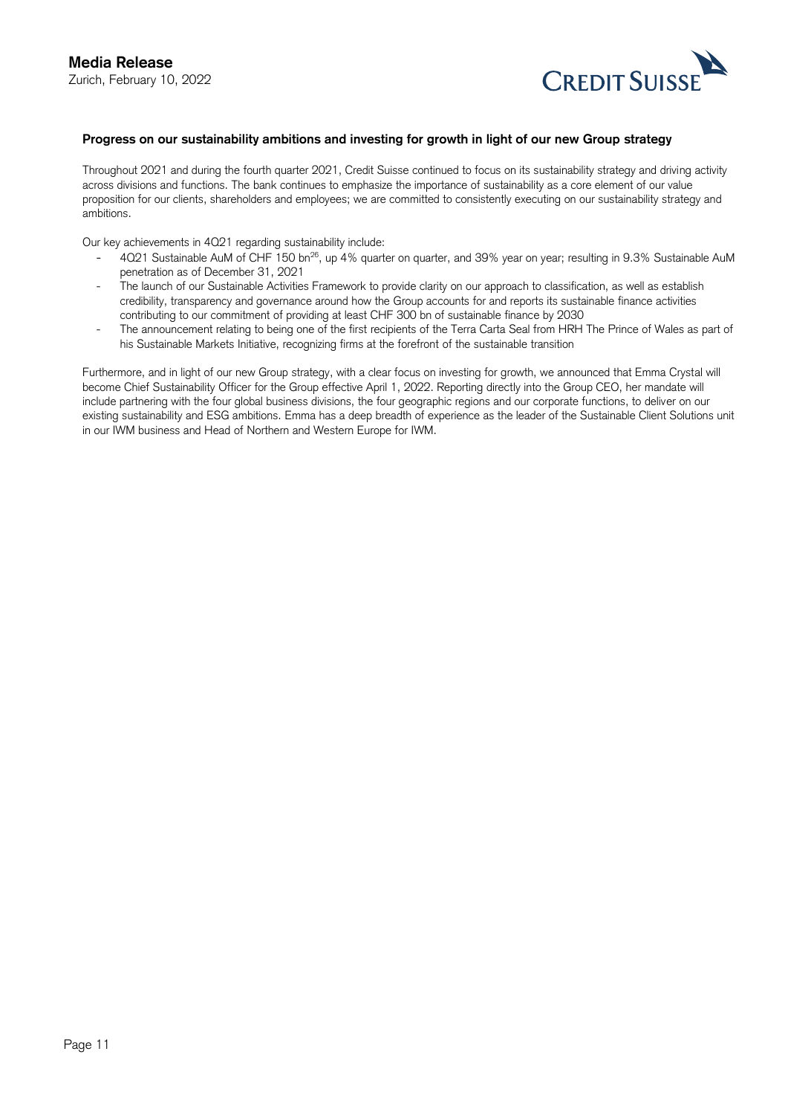

#### **Progress on our sustainability ambitions and investing for growth in light of our new Group strategy**

Throughout 2021 and during the fourth quarter 2021, Credit Suisse continued to focus on its sustainability strategy and driving activity across divisions and functions. The bank continues to emphasize the importance of sustainability as a core element of our value proposition for our clients, shareholders and employees; we are committed to consistently executing on our sustainability strategy and ambitions.

Our key achievements in 4Q21 regarding sustainability include:

- 4Q21 Sustainable AuM of CHF 150 bn<sup>26</sup>, up 4% quarter on quarter, and 39% year on year; resulting in 9.3% Sustainable AuM penetration as of December 31, 2021
- The launch of our Sustainable Activities Framework to provide clarity on our approach to classification, as well as establish credibility, transparency and governance around how the Group accounts for and reports its sustainable finance activities contributing to our commitment of providing at least CHF 300 bn of sustainable finance by 2030
- - The announcement relating to being one of the first recipients of the Terra Carta Seal from HRH The Prince of Wales as part of his Sustainable Markets Initiative, recognizing firms at the forefront of the sustainable transition

Furthermore, and in light of our new Group strategy, with a clear focus on investing for growth, we announced that Emma Crystal will become Chief Sustainability Officer for the Group effective April 1, 2022. Reporting directly into the Group CEO, her mandate will include partnering with the four global business divisions, the four geographic regions and our corporate functions, to deliver on our existing sustainability and ESG ambitions. Emma has a deep breadth of experience as the leader of the Sustainable Client Solutions unit in our IWM business and Head of Northern and Western Europe for IWM.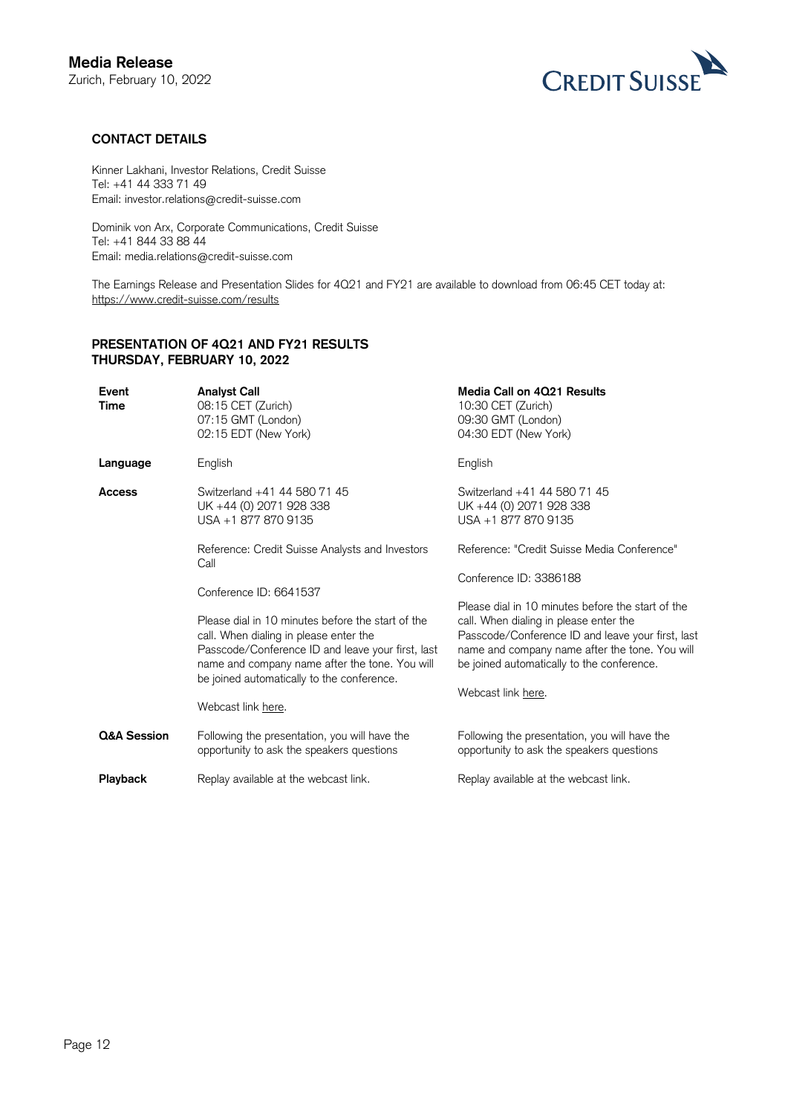

# **CONTACT DETAILS**

Kinner Lakhani, Investor Relations, Credit Suisse Tel: +41 44 333 71 49 Email: investor.relations@credit-suisse.com

Dominik von Arx, Corporate Communications, Credit Suisse Tel: +41 844 33 88 44 Email: media.relations@credit-suisse.com

The Earnings Release and Presentation Slides for 4Q21 and FY21 are available to download from 06:45 CET today at: <https://www.credit-suisse.com/results>

# **PRESENTATION OF 4Q21 AND FY21 RESULTS THURSDAY, FEBRUARY 10, 2022**

| Event<br>Time | <b>Analyst Call</b><br>08:15 CET (Zurich)<br>07:15 GMT (London)<br>02:15 EDT (New York)                                                                                                                                                                                | Media Call on 4Q21 Results<br>10:30 CET (Zurich)<br>09:30 GMT (London)<br>04:30 EDT (New York)                                                                                                                                                                         |
|---------------|------------------------------------------------------------------------------------------------------------------------------------------------------------------------------------------------------------------------------------------------------------------------|------------------------------------------------------------------------------------------------------------------------------------------------------------------------------------------------------------------------------------------------------------------------|
| Language      | English                                                                                                                                                                                                                                                                | English                                                                                                                                                                                                                                                                |
| <b>Access</b> | Switzerland +41 44 580 71 45<br>UK +44 (0) 2071 928 338<br>USA +1 877 870 9135                                                                                                                                                                                         | Switzerland +41 44 580 71 45<br>UK +44 (0) 2071 928 338<br>USA +1 877 870 9135                                                                                                                                                                                         |
|               | Reference: Credit Suisse Analysts and Investors<br>Call                                                                                                                                                                                                                | Reference: "Credit Suisse Media Conference"                                                                                                                                                                                                                            |
|               | Conference ID: 6641537                                                                                                                                                                                                                                                 | Conference ID: 3386188                                                                                                                                                                                                                                                 |
|               | Please dial in 10 minutes before the start of the<br>call. When dialing in please enter the<br>Passcode/Conference ID and leave your first, last<br>name and company name after the tone. You will<br>be joined automatically to the conference.<br>Webcast link here. | Please dial in 10 minutes before the start of the<br>call. When dialing in please enter the<br>Passcode/Conference ID and leave your first, last<br>name and company name after the tone. You will<br>be joined automatically to the conference.<br>Webcast link here. |
| Q&A Session   | Following the presentation, you will have the<br>opportunity to ask the speakers questions                                                                                                                                                                             | Following the presentation, you will have the<br>opportunity to ask the speakers questions                                                                                                                                                                             |
| Playback      | Replay available at the webcast link.                                                                                                                                                                                                                                  | Replay available at the webcast link.                                                                                                                                                                                                                                  |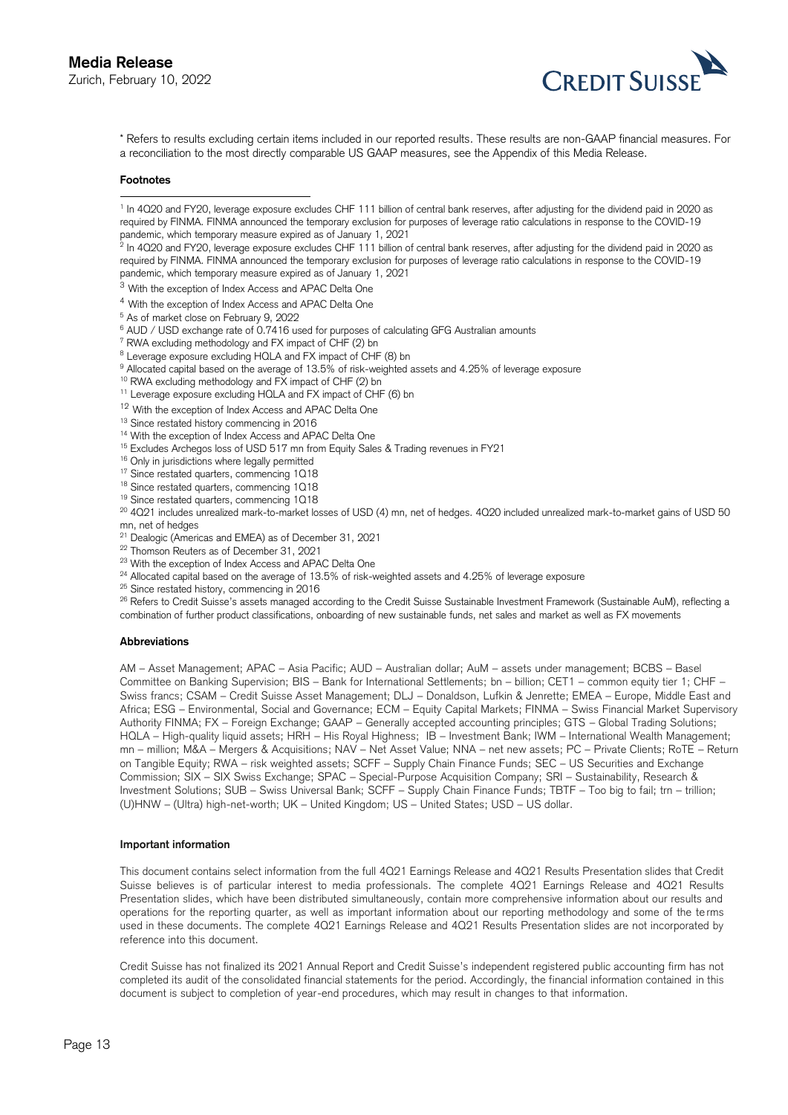

Exercises<br>Express to results excluding certain items included in our reported results. These results are non-GAAP financial measures. For<br>A Refers to results excluding certain items included in our reported results. These a reconciliation to the most directly comparable US GAAP measures, see the Appendix of this Media Release.

#### **Footnotes**

-

 $^2$  In 4Q20 and FY20, leverage exposure excludes CHF 111 billion of central bank reserves, after adjusting for the dividend paid in 2020 as required by FINMA. FINMA announced the temporary exclusion for purposes of leverage ratio calculations in response to the COVID-19 pandemic, which temporary measure expired as of January 1, 2021

- <sup>3</sup> With the exception of Index Access and APAC Delta One
- $^4$  With the exception of Index Access and APAC Delta One  $^5$  As of market close on February 9, 2022
- <sup>5</sup> As of market close on February 9, 2022
- $6$  AUD / USD exchange rate of 0.7416 used for purposes of calculating GFG Australian amounts
- <sup>7</sup> RWA excluding methodology and FX impact of CHF (2) bn
- <sup>8</sup> Leverage exposure excluding HQLA and FX impact of CHF (8) bn
- The excluding methodology and FX impact of CHF (2) bn<br>  $^8$  Leverage exposure excluding HQLA and FX impact of CHF (8) bn<br>  $^9$  Allocated capital based on the average of 13.5% of risk-weighted assets and 4.25% of leverage
- <sup>10</sup> RWA excluding methodology and FX impact of CHF (2) bn
- <sup>11</sup> Leverage exposure excluding HQLA and FX impact of CHF (6) bn
- <sup>12</sup> With the exception of Index Access and APAC Delta One
- <sup>13</sup> Since restated history commencing in 2016
- <sup>14</sup> With the exception of Index Access and APAC Delta One
- <sup>15</sup> Excludes Archegos loss of USD 517 mn from Equity Sales & Trading revenues in FY21
- <sup>16</sup> Only in jurisdictions where legally permitted
- <sup>17</sup> Since restated quarters, commencing 1Q18
- <sup>18</sup> Since restated quarters, commencing 1Q18
- <sup>19</sup> Since restated quarters, commencing 1Q18

<sup>12</sup> With the exception of Index Access and APAC Delta One<br><sup>13</sup> Since restated history commencing in 2016<br><sup>14</sup> With the exception of Index Access and APAC Delta One<br><sup>15</sup> Excludes Archegos loss of USD 517 mn from Equity Sa mn, net of hedges

<sup>21</sup> Dealogic (Americas and EMEA) as of December 31, 2021

- <sup>22</sup> Thomson Reuters as of December 31, 2021
- <sup>23</sup> With the exception of Index Access and APAC Delta One
- <sup>24</sup> Allocated capital based on the average of 13.5% of risk-weighted assets and 4.25% of leverage exposure
- <sup>25</sup> Since restated history, commencing in 2016

<sup>21</sup> Dealogic (Americas and EMEA) as of December 31, 2021<br><sup>22</sup> Thomson Reuters as of December 31, 2021<br><sup>23</sup> With the exception of Index Access and APAC Delta One<br><sup>24</sup> Allocated capital based on the average of 13.5% of risk combination of further product classifications, onboarding of new sustainable funds, net sales and market as well as FX movements

#### **Abbreviations**

 AM – Asset Management; APAC – Asia Pacific; AUD – Australian dollar; AuM – assets under management; BCBS – Basel Committee on Banking Supervision; BIS – Bank for International Settlements; bn – billion; CET1 – common equity tier 1; CHF – Swiss francs; CSAM – Credit Suisse Asset Management; DLJ – Donaldson, Lufkin & Jenrette; EMEA – Europe, Middle East and Africa; ESG – Environmental, Social and Governance; ECM – Equity Capital Markets; FINMA – Swiss Financial Market Supervisory Authority FINMA; FX – Foreign Exchange; GAAP – Generally accepted accounting principles; GTS – Global Trading Solutions; HQLA – High-quality liquid assets; HRH – His Royal Highness; IB – Investment Bank; IWM – International Wealth Management; mn – million; M&A – Mergers & Acquisitions; NAV – Net Asset Value; NNA – net new assets; PC – Private Clients; RoTE – Return on Tangible Equity; RWA – risk weighted assets; SCFF – Supply Chain Finance Funds; SEC – US Securities and Exchange Commission; SIX – SIX Swiss Exchange; SPAC – Special-Purpose Acquisition Company; SRI – Sustainability, Research & Investment Solutions; SUB – Swiss Universal Bank; SCFF – Supply Chain Finance Funds; TBTF – Too big to fail; trn – trillion; (U)HNW – (Ultra) high-net-worth; UK – United Kingdom; US – United States; USD – US dollar.

#### **Important information**

 This document contains select information from the full 4Q21 Earnings Release and 4Q21 Results Presentation slides that Credit Suisse believes is of particular interest to media professionals. The complete 4Q21 Earnings Release and 4Q21 Results Presentation slides, which have been distributed simultaneously, contain more comprehensive information about our results and operations for the reporting quarter, as well as important information about our reporting methodology and some of the te rms used in these documents. The complete 4Q21 Earnings Release and 4Q21 Results Presentation slides are not incorporated by reference into this document.

 Credit Suisse has not finalized its 2021 Annual Report and Credit Suisse's independent registered public accounting firm has not completed its audit of the consolidated financial statements for the period. Accordingly, the financial information contained in this document is subject to completion of year-end procedures, which may result in changes to that information.

<sup>&</sup>lt;sup>1</sup> In 4Q20 and FY20, leverage exposure excludes CHF 111 billion of central bank reserves, after adjusting for the dividend paid in 2020 as required by FINMA. FINMA announced the temporary exclusion for purposes of leverage ratio calculations in response to the COVID-19 pandemic, which temporary measure expired as of January 1, 2021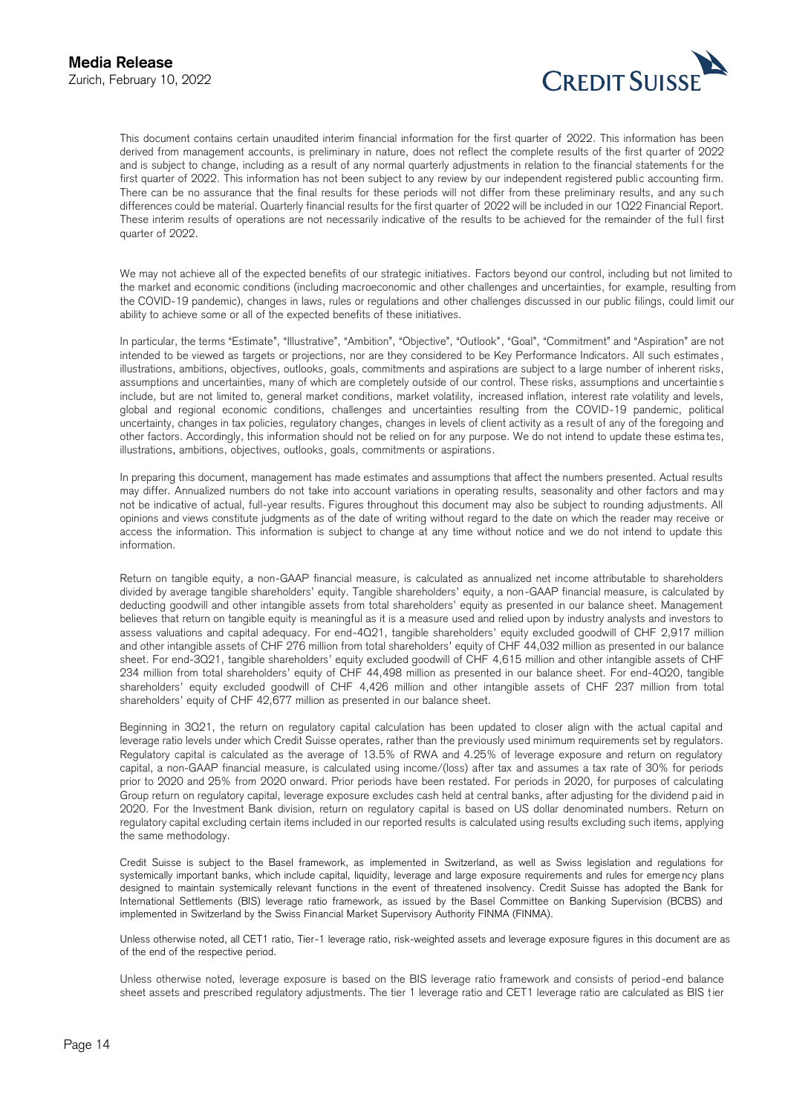

Zurich, February 10, 2022<br>This document contains certain unaudited interim financial information for the first quarter of 2022. This information has been derived from management accounts, is preliminary in nature, does not reflect the complete results of the first qu arter of 2022 and is subject to change, including as a result of any normal quarterly adjustments in relation to the financial statements for the first quarter of 2022. This information has not been subject to any review by our independent registered public accounting firm. There can be no assurance that the final results for these periods will not differ from these preliminary results, and any su ch differences could be material. Quarterly financial results for the first quarter of 2022 will be included in our 1Q22 Financial Report. These interim results of operations are not necessarily indicative of the results to be achieved for the remainder of the ful l first quarter of 2022.

 We may not achieve all of the expected benefits of our strategic initiatives. Factors beyond our control, including but not limited to the market and economic conditions (including macroeconomic and other challenges and uncertainties, for example, resulting from the COVID-19 pandemic), changes in laws, rules or regulations and other challenges discussed in our public filings, could limit our ability to achieve some or all of the expected benefits of these initiatives.

 In particular, the terms "Estimate", "Illustrative", "Ambition", "Objective", "Outlook", "Goal", "Commitment" and "Aspiration" are not intended to be viewed as targets or projections, nor are they considered to be Key Performance Indicators. All such estimates , illustrations, ambitions, objectives, outlooks, goals, commitments and aspirations are subject to a large number of inherent risks, assumptions and uncertainties, many of which are completely outside of our control. These risks, assumptions and uncertaintie s include, but are not limited to, general market conditions, market volatility, increased inflation, interest rate volatility and levels, global and regional economic conditions, challenges and uncertainties resulting from the COVID-19 pandemic, political uncertainty, changes in tax policies, regulatory changes, changes in levels of client activity as a result of any of the foregoing and other factors. Accordingly, this information should not be relied on for any purpose. We do not intend to update these estima tes, illustrations, ambitions, objectives, outlooks, goals, commitments or aspirations.

 In preparing this document, management has made estimates and assumptions that affect the numbers presented. Actual results may differ. Annualized numbers do not take into account variations in operating results, seasonality and other factors and may not be indicative of actual, full-year results. Figures throughout this document may also be subject to rounding adjustments. All opinions and views constitute judgments as of the date of writing without regard to the date on which the reader may receive or access the information. This information is subject to change at any time without notice and we do not intend to update this information.

 Return on tangible equity, a non-GAAP financial measure, is calculated as annualized net income attributable to shareholders divided by average tangible shareholders' equity. Tangible shareholders' equity, a non-GAAP financial measure, is calculated by deducting goodwill and other intangible assets from total shareholders' equity as presented in our balance sheet. Management believes that return on tangible equity is meaningful as it is a measure used and relied upon by industry analysts and investors to assess valuations and capital adequacy. For end-4Q21, tangible shareholders' equity excluded goodwill of CHF 2,917 million and other intangible assets of CHF 276 million from total shareholders' equity of CHF 44,032 million as presented in our balance sheet. For end-3Q21, tangible shareholders' equity excluded goodwill of CHF 4,615 million and other intangible assets of CHF 234 million from total shareholders' equity of CHF 44,498 million as presented in our balance sheet. For end-4Q20, tangible shareholders' equity excluded goodwill of CHF 4,426 million and other intangible assets of CHF 237 million from total shareholders' equity of CHF 42,677 million as presented in our balance sheet.

 Beginning in 3Q21, the return on regulatory capital calculation has been updated to closer align with the actual capital and leverage ratio levels under which Credit Suisse operates, rather than the previously used minimum requirements set by regulators. Regulatory capital is calculated as the average of 13.5% of RWA and 4.25% of leverage exposure and return on regulatory capital, a non-GAAP financial measure, is calculated using income/(loss) after tax and assumes a tax rate of 30% for periods prior to 2020 and 25% from 2020 onward. Prior periods have been restated. For periods in 2020, for purposes of calculating Group return on regulatory capital, leverage exposure excludes cash held at central banks, after adjusting for the dividend p aid in 2020. For the Investment Bank division, return on regulatory capital is based on US dollar denominated numbers. Return on regulatory capital excluding certain items included in our reported results is calculated using results excluding such items, applying the same methodology.

 Credit Suisse is subject to the Basel framework, as implemented in Switzerland, as well as Swiss legislation and regulations for systemically important banks, which include capital, liquidity, leverage and large exposure requirements and rules for emerge ncy plans designed to maintain systemically relevant functions in the event of threatened insolvency. Credit Suisse has adopted the Bank for International Settlements (BIS) leverage ratio framework, as issued by the Basel Committee on Banking Supervision (BCBS) and implemented in Switzerland by the Swiss Financial Market Supervisory Authority FINMA (FINMA).

 Unless otherwise noted, all CET1 ratio, Tier-1 leverage ratio, risk-weighted assets and leverage exposure figures in this document are as of the end of the respective period.

 Unless otherwise noted, leverage exposure is based on the BIS leverage ratio framework and consists of period -end balance sheet assets and prescribed regulatory adjustments. The tier 1 leverage ratio and CET1 leverage ratio are calculated as BIS tier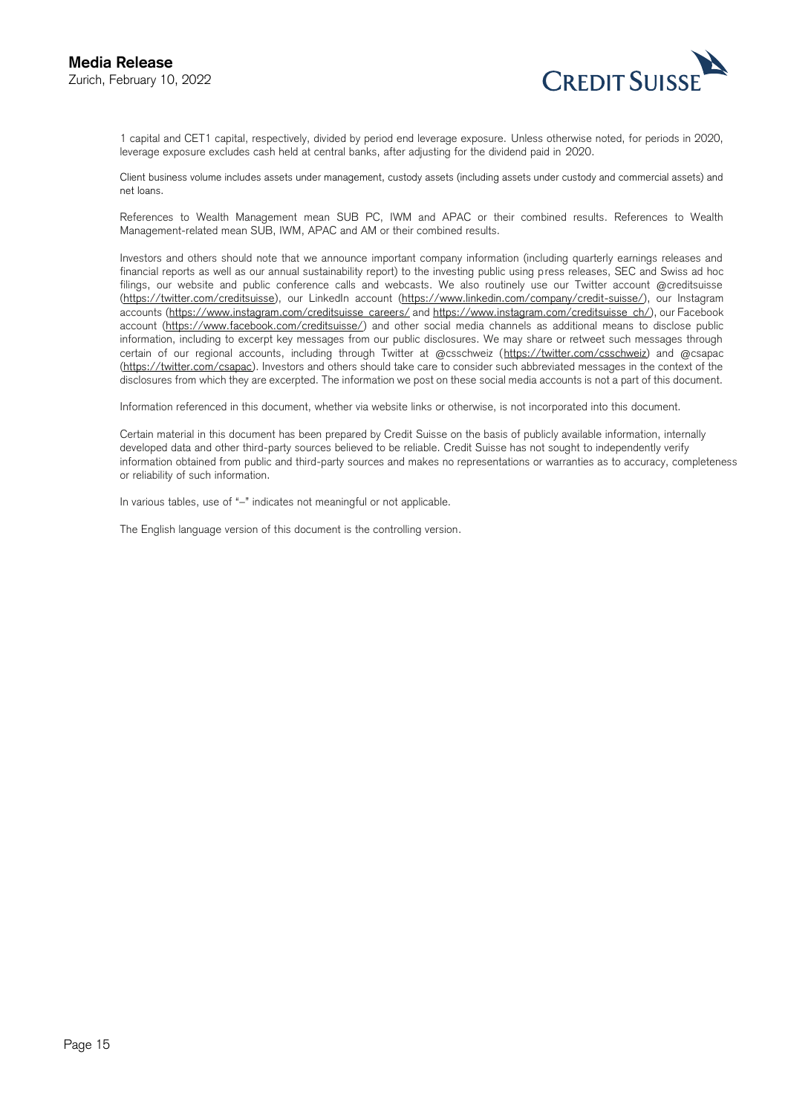

Zurich, February 10, 2022<br>1 capital and CET1 capital, respectively, divided by period end leverage exposure. Unless otherwise noted, for periods in 2020, leverage exposure excludes cash held at central banks, after adjusting for the dividend paid in 2020.

 Client business volume includes assets under management, custody assets (including assets under custody and commercial assets) and net loans.

 References to Wealth Management mean SUB PC, IWM and APAC or their combined results. References to Wealth Management-related mean SUB, IWM, APAC and AM or their combined results.

 Investors and others should note that we announce important company information (including quarterly earnings releases and financial reports as well as our annual sustainability report) to the investing public using press releases, SEC and Swiss ad hoc filings, our website and public conference calls and webcasts. We also routinely use our Twitter account @creditsuisse [\(https://twitter.com/creditsuisse\)](https://twitter.com/creditsuisse), our LinkedIn account [\(https://www.linkedin.com/company/credit-suisse/\)](https://www.linkedin.com/company/credit-suisse/), our Instagram accounts [\(https://www.instagram.com/creditsuisse\\_careers/ a](https://www.instagram.com/creditsuisse_careers/)nd [https://www.instagram.com/creditsuisse\\_ch/\)](https://www.instagram.com/creditsuisse_ch/), our Facebook account [\(https://www.facebook.com/creditsuisse/\)](https://www.facebook.com/creditsuisse/) and other social media channels as additional means to disclose public information, including to excerpt key messages from our public disclosures. We may share or retweet such messages through certain of our regional accounts, including through Twitter at @csschweiz [\(https://twitter.com/csschweiz\)](https://twitter.com/csschweiz) and @csapac [\(https://twitter.com/csapac\)](https://twitter.com/csapac). Investors and others should take care to consider such abbreviated messages in the context of the disclosures from which they are excerpted. The information we post on these social media accounts is not a part of this document.

Information referenced in this document, whether via website links or otherwise, is not incorporated into this document.

 Certain material in this document has been prepared by Credit Suisse on the basis of publicly available information, internally developed data and other third-party sources believed to be reliable. Credit Suisse has not sought to independently verify information obtained from public and third-party sources and makes no representations or warranties as to accuracy, completeness or reliability of such information.

In various tables, use of "–" indicates not meaningful or not applicable.

The English language version of this document is the controlling version.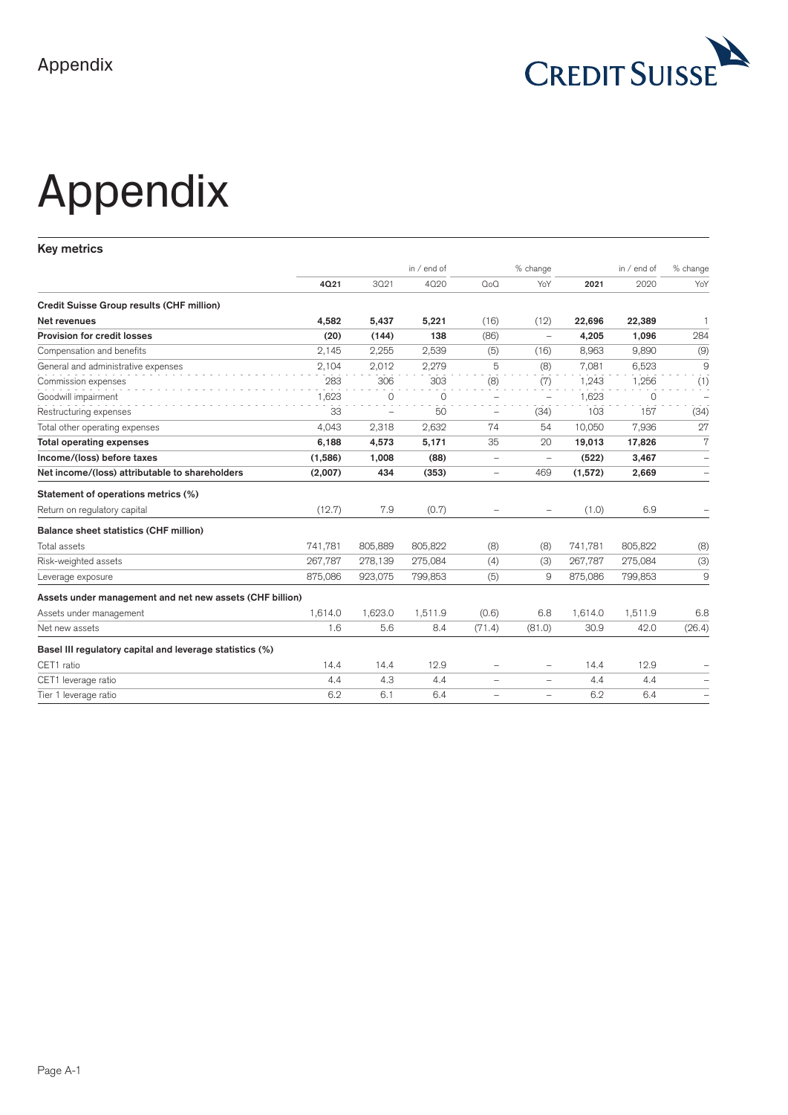

# Appendix

**Key metrics** 

|                                                          |         |          | in $/$ end of |                          | % change                 |         | in $/$ end of | % change                 |
|----------------------------------------------------------|---------|----------|---------------|--------------------------|--------------------------|---------|---------------|--------------------------|
|                                                          | 4021    | 3021     | 4020          | $Q_0Q$                   | YoY                      | 2021    | 2020          | YoY                      |
| Credit Suisse Group results (CHF million)                |         |          |               |                          |                          |         |               |                          |
| Net revenues                                             | 4.582   | 5,437    | 5,221         | (16)                     | (12)                     | 22,696  | 22,389        | $\overline{1}$           |
| Provision for credit losses                              | (20)    | (144)    | 138           | (86)                     | $\overline{\phantom{0}}$ | 4,205   | 1,096         | 284                      |
| Compensation and benefits                                | 2,145   | 2,255    | 2,539         | (5)                      | (16)                     | 8,963   | 9,890         | (9)                      |
| General and administrative expenses                      | 2.104   | 2,012    | 2,279         | 5                        | (8)                      | 7.081   | 6,523         | 9                        |
| Commission expenses                                      | 283     | 306      | 303           | (8)                      | (7)                      | 1,243   | 1,256         | (1)                      |
| Goodwill impairment                                      | 1,623   | $\Omega$ | $\Omega$      | $\overline{\phantom{0}}$ | $\overline{\phantom{0}}$ | 1,623   | $\Omega$      | $\overline{\phantom{0}}$ |
| Restructuring expenses                                   | 33      | $\equiv$ | 50            | $\overline{\phantom{0}}$ | (34)                     | 103     | 157           | (34)                     |
| Total other operating expenses                           | 4,043   | 2,318    | 2,632         | 74                       | 54                       | 10.050  | 7,936         | 27                       |
| <b>Total operating expenses</b>                          | 6,188   | 4,573    | 5,171         | 35                       | 20                       | 19,013  | 17,826        | 7                        |
| Income/(loss) before taxes                               | (1,586) | 1,008    | (88)          | $\overline{\phantom{0}}$ | -                        | (522)   | 3,467         | $\overline{\phantom{m}}$ |
| Net income/(loss) attributable to shareholders           | (2,007) | 434      | (353)         | $\qquad \qquad -$        | 469                      | (1,572) | 2,669         | $\overline{\phantom{0}}$ |
| Statement of operations metrics (%)                      |         |          |               |                          |                          |         |               |                          |
| Return on regulatory capital                             | (12.7)  | 7.9      | (0.7)         | $\overline{\phantom{0}}$ |                          | (1.0)   | 6.9           |                          |
| Balance sheet statistics (CHF million)                   |         |          |               |                          |                          |         |               |                          |
| Total assets                                             | 741,781 | 805,889  | 805,822       | (8)                      | (8)                      | 741,781 | 805,822       | (8)                      |
| Risk-weighted assets                                     | 267.787 | 278.139  | 275,084       | (4)                      | (3)                      | 267,787 | 275,084       | (3)                      |
| Leverage exposure                                        | 875.086 | 923.075  | 799,853       | (5)                      | 9                        | 875.086 | 799,853       | 9                        |
| Assets under management and net new assets (CHF billion) |         |          |               |                          |                          |         |               |                          |
| Assets under management                                  | 1.614.0 | 1,623.0  | 1,511.9       | (0.6)                    | 6.8                      | 1,614.0 | 1,511.9       | 6.8                      |
| Net new assets                                           | 1.6     | 5.6      | 8.4           | (71.4)                   | (81.0)                   | 30.9    | 42.0          | (26.4)                   |
| Basel III regulatory capital and leverage statistics (%) |         |          |               |                          |                          |         |               |                          |
| CET1 ratio                                               | 14.4    | 14.4     | 12.9          | $\overline{\phantom{0}}$ | $\overline{\phantom{0}}$ | 14.4    | 12.9          |                          |
| CET1 leverage ratio                                      | 4.4     | 4.3      | 4.4           | -                        |                          | 4.4     | 4.4           |                          |
| Tier 1 leverage ratio                                    | 6.2     | 6.1      | 6.4           | -                        | $\overline{\phantom{0}}$ | 6.2     | 6.4           |                          |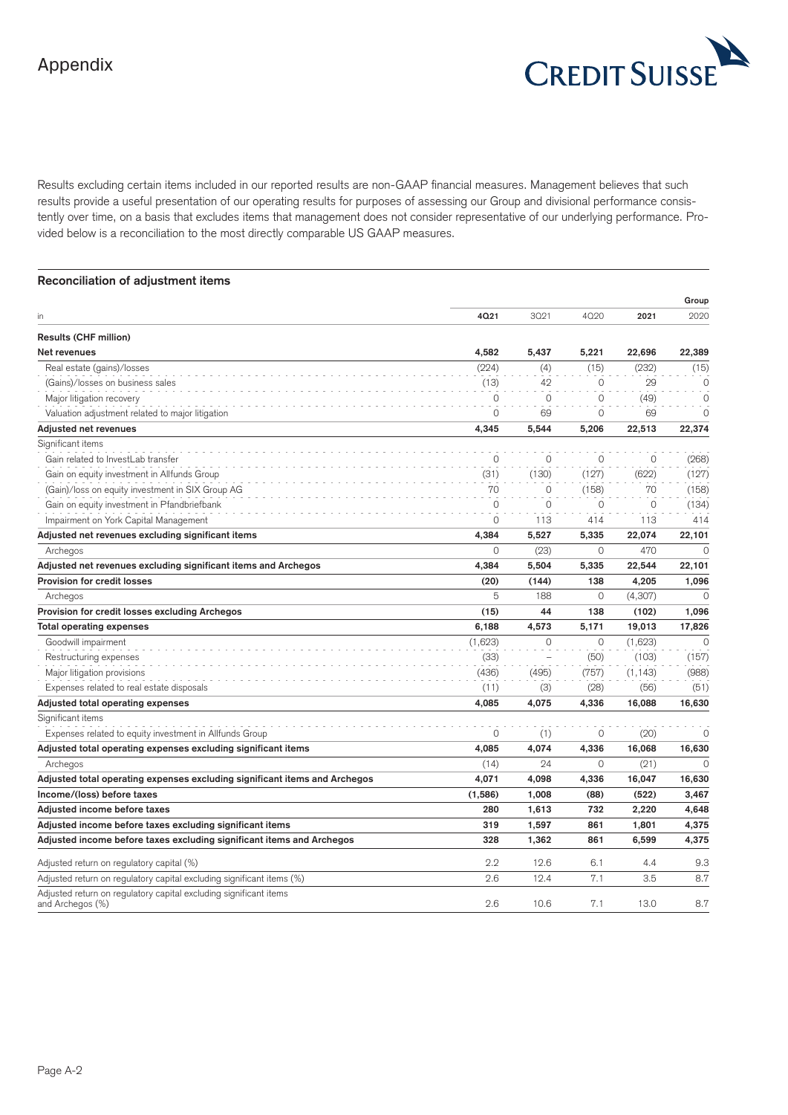

Results excluding certain items included in our reported results are non-GAAP financial measures. Management believes that such results provide a useful presentation of our operating results for purposes of assessing our Group and divisional performance consistently over time, on a basis that excludes items that management does not consider representative of our underlying performance. Provided below is a reconciliation to the most directly comparable US GAAP measures.

| Reconciliation of adjustment items                                                    |              |             |             |          |          |
|---------------------------------------------------------------------------------------|--------------|-------------|-------------|----------|----------|
|                                                                                       |              |             |             |          | Group    |
| in                                                                                    | 4021         | 3021        | 4020        | 2021     | 2020     |
| <b>Results (CHF million)</b>                                                          |              |             |             |          |          |
| Net revenues                                                                          | 4,582        | 5.437       | 5,221       | 22,696   | 22,389   |
| Real estate (gains)/losses                                                            | (224)        | (4)         | (15)        | (232)    | (15)     |
| (Gains)/losses on business sales                                                      | (13)         | 42          | $\mathbf 0$ | 29       | $\circ$  |
| Major litigation recovery                                                             | $\Omega$     | 0           | 0           | (49)     | $\circ$  |
| Valuation adjustment related to major litigation                                      | 0            | 69          | 0           | 69       | $\circ$  |
| <b>Adjusted net revenues</b>                                                          | 4,345        | 5,544       | 5,206       | 22,513   | 22,374   |
| Significant items                                                                     |              |             |             |          |          |
| Gain related to InvestLab transfer                                                    | $\mathbf 0$  | 0           | 0           | 0        | (268)    |
| Gain on equity investment in Allfunds Group                                           | (31)         | (130)       | (127)       | (622)    | (127)    |
| (Gain)/loss on equity investment in SIX Group AG                                      | 70           | $\Omega$    | (158)       | 70       | (158)    |
| Gain on equity investment in Pfandbriefbank                                           | $\mathbf{0}$ | $\mathbf 0$ | 0           | $\circ$  | (134)    |
| Impairment on York Capital Management                                                 | $\circ$      | 113         | 414         | 113      | 414      |
| Adjusted net revenues excluding significant items                                     | 4,384        | 5,527       | 5,335       | 22,074   | 22,101   |
| Archegos                                                                              | $\Omega$     | (23)        | $\Omega$    | 470      | $\Omega$ |
| Adjusted net revenues excluding significant items and Archegos                        | 4,384        | 5,504       | 5,335       | 22,544   | 22,101   |
| <b>Provision for credit losses</b>                                                    | (20)         | (144)       | 138         | 4,205    | 1,096    |
| Archegos                                                                              | 5            | 188         | 0           | (4,307)  | $\Omega$ |
| Provision for credit losses excluding Archegos                                        | (15)         | 44          | 138         | (102)    | 1,096    |
| Total operating expenses                                                              | 6,188        | 4,573       | 5,171       | 19,013   | 17,826   |
| Goodwill impairment                                                                   | (1,623)      | $\mathbf 0$ | $\Omega$    | (1,623)  | $\Omega$ |
| Restructuring expenses                                                                | (33)         |             | (50)        | (103)    | (157)    |
| Major litigation provisions                                                           | (436)        | (495)       | (757)       | (1, 143) | (988)    |
| Expenses related to real estate disposals                                             | (11)         | (3)         | (28)        | (56)     | (51)     |
| Adjusted total operating expenses                                                     | 4,085        | 4,075       | 4,336       | 16,088   | 16,630   |
| Significant items                                                                     |              |             |             |          |          |
| Expenses related to equity investment in Allfunds Group                               | $\circ$      | (1)         | 0           | (20)     | $\circ$  |
| Adjusted total operating expenses excluding significant items                         | 4,085        | 4,074       | 4,336       | 16,068   | 16,630   |
| Archegos                                                                              | (14)         | 24          | $\mathbf 0$ | (21)     | $\circ$  |
| Adjusted total operating expenses excluding significant items and Archegos            | 4,071        | 4,098       | 4,336       | 16,047   | 16,630   |
| Income/(loss) before taxes                                                            | (1,586)      | 1,008       | (88)        | (522)    | 3,467    |
| Adjusted income before taxes                                                          | 280          | 1,613       | 732         | 2,220    | 4,648    |
| Adjusted income before taxes excluding significant items                              | 319          | 1,597       | 861         | 1,801    | 4,375    |
| Adjusted income before taxes excluding significant items and Archegos                 | 328          | 1,362       | 861         | 6,599    | 4,375    |
| Adjusted return on regulatory capital (%)                                             | 2.2          | 12.6        | 6.1         | 4.4      | 9.3      |
| Adjusted return on regulatory capital excluding significant items (%)                 | 2.6          | 12.4        | 7.1         | 3.5      | 8.7      |
| Adjusted return on regulatory capital excluding significant items<br>and Archegos (%) | 2.6          | 10.6        | 7.1         | 13.0     | 8.7      |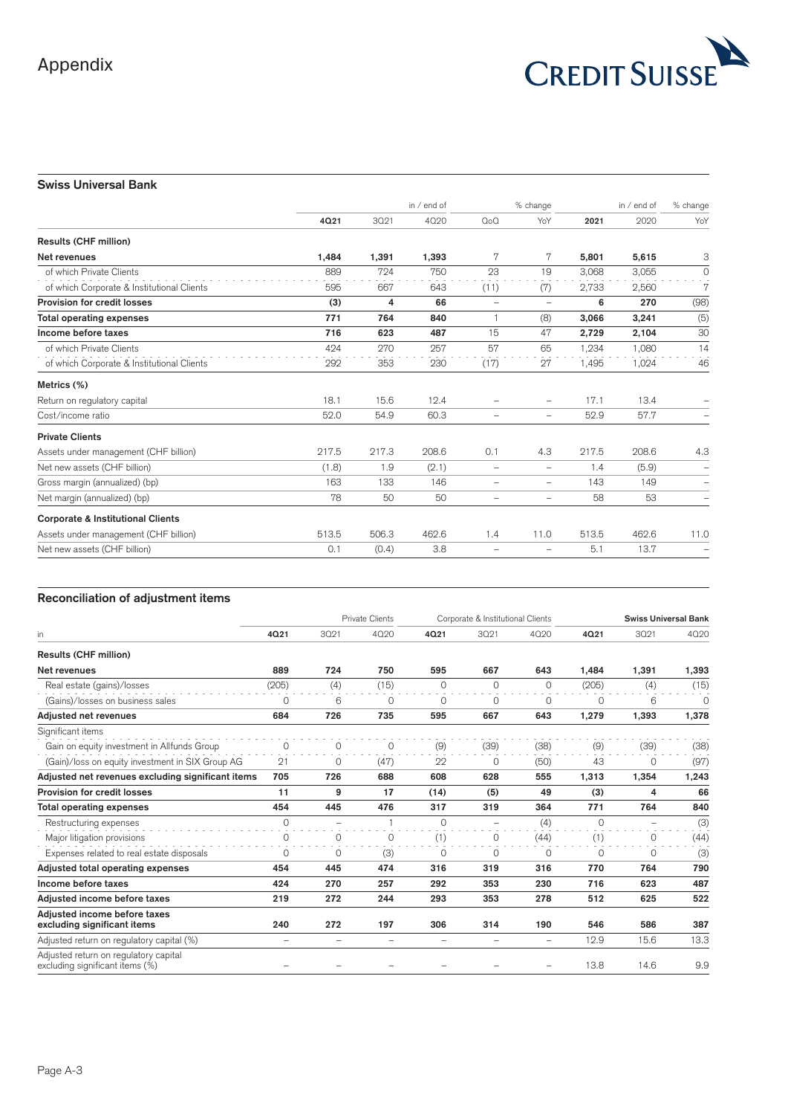

# **Swiss Universal Bank**

|                                              |       | in $/$ end of |       |                          | % change                 |       | in $/$ end of | % change                 |
|----------------------------------------------|-------|---------------|-------|--------------------------|--------------------------|-------|---------------|--------------------------|
|                                              | 4Q21  | 3021          | 4020  | $Q_0Q$                   | YoY                      | 2021  | 2020          | YoY                      |
| <b>Results (CHF million)</b>                 |       |               |       |                          |                          |       |               |                          |
| Net revenues                                 | 1,484 | 1,391         | 1,393 | 7                        | 7                        | 5,801 | 5,615         | 3                        |
| of which Private Clients                     | 889   | 724           | 750   | 23                       | 19                       | 3.068 | 3.055         | $\circ$                  |
| of which Corporate & Institutional Clients   | 595   | 667           | 643   | (11)                     | (7)                      | 2,733 | 2,560         | 7                        |
| Provision for credit losses                  | (3)   | 4             | 66    | $\overline{\phantom{0}}$ | $\overline{\phantom{a}}$ | 6     | 270           | (98)                     |
| <b>Total operating expenses</b>              | 771   | 764           | 840   |                          | (8)                      | 3,066 | 3,241         | (5)                      |
| Income before taxes                          | 716   | 623           | 487   | 15                       | 47                       | 2,729 | 2,104         | 30                       |
| of which Private Clients                     | 424   | 270           | 257   | 57                       | 65                       | 1,234 | 1,080         | 14                       |
| of which Corporate & Institutional Clients   | 292   | 353           | 230   | (17)                     | 27                       | 1,495 | 1,024         | 46                       |
| Metrics (%)                                  |       |               |       |                          |                          |       |               |                          |
| Return on regulatory capital                 | 18.1  | 15.6          | 12.4  | -                        | $\overline{\phantom{0}}$ | 17.1  | 13.4          |                          |
| Cost/income ratio                            | 52.0  | 54.9          | 60.3  | $\overline{\phantom{0}}$ | $\qquad \qquad -$        | 52.9  | 57.7          |                          |
| <b>Private Clients</b>                       |       |               |       |                          |                          |       |               |                          |
| Assets under management (CHF billion)        | 217.5 | 217.3         | 208.6 | 0.1                      | 4.3                      | 217.5 | 208.6         | 4.3                      |
| Net new assets (CHF billion)                 | (1.8) | 1.9           | (2.1) | $\overline{\phantom{0}}$ | $\qquad \qquad -$        | 1.4   | (5.9)         |                          |
| Gross margin (annualized) (bp)               | 163   | 133           | 146   | $\overline{\phantom{0}}$ | $\qquad \qquad -$        | 143   | 149           | $\overline{\phantom{0}}$ |
| Net margin (annualized) (bp)                 | 78    | 50            | 50    | $\overline{\phantom{0}}$ | $\qquad \qquad -$        | 58    | 53            | -                        |
| <b>Corporate &amp; Institutional Clients</b> |       |               |       |                          |                          |       |               |                          |
| Assets under management (CHF billion)        | 513.5 | 506.3         | 462.6 | 1.4                      | 11.0                     | 513.5 | 462.6         | 11.0                     |
| Net new assets (CHF billion)                 | 0.1   | (0.4)         | 3.8   | -                        |                          | 5.1   | 13.7          |                          |

|                                                                          |                   |                          | <b>Private Clients</b>   |                          |                          | Corporate & Institutional Clients |             | <b>Swiss Universal Bank</b> |          |
|--------------------------------------------------------------------------|-------------------|--------------------------|--------------------------|--------------------------|--------------------------|-----------------------------------|-------------|-----------------------------|----------|
| in                                                                       | 4Q21              | 3021                     | 4020                     | 4Q21                     | 3021                     | 4020                              | 4Q21        | 3021                        | 4020     |
| <b>Results (CHF million)</b>                                             |                   |                          |                          |                          |                          |                                   |             |                             |          |
| Net revenues                                                             | 889               | 724                      | 750                      | 595                      | 667                      | 643                               | 1.484       | 1.391                       | 1,393    |
| Real estate (gains)/losses                                               | (205)             | (4)                      | (15)                     | $\circ$                  | $\Omega$                 | $\Omega$                          | (205)       | (4)                         | (15)     |
| (Gains)/losses on business sales                                         | $\circ$           | 6                        | $\mathbf 0$              | $\circ$                  | $\circ$                  | $\circ$                           | $\mathbf 0$ | 6                           | $\Omega$ |
| Adjusted net revenues                                                    | 684               | 726                      | 735                      | 595                      | 667                      | 643                               | 1,279       | 1,393                       | 1,378    |
| Significant items                                                        |                   |                          |                          |                          |                          |                                   |             |                             |          |
| Gain on equity investment in Allfunds Group                              | $\circ$           | $\circ$                  | 0                        | (9)                      | (39)                     | (38)                              | (9)         | (39)                        | (38)     |
| (Gain)/loss on equity investment in SIX Group AG                         | 21                | 0                        | (47)                     | 22                       | 0                        | (50)                              | 43          | 0                           | (97)     |
| Adjusted net revenues excluding significant items                        | 705               | 726                      | 688                      | 608                      | 628                      | 555                               | 1,313       | 1,354                       | 1,243    |
| Provision for credit losses                                              | 11                | 9                        | 17                       | (14)                     | (5)                      | 49                                | (3)         | 4                           | 66       |
| Total operating expenses                                                 | 454               | 445                      | 476                      | 317                      | 319                      | 364                               | 771         | 764                         | 840      |
| Restructuring expenses                                                   | $\Omega$          | ÷                        |                          | $\Omega$                 | ÷                        | (4)                               | $\Omega$    | $\overline{\phantom{a}}$    | (3)      |
| Major litigation provisions                                              | $\circ$           | 0                        | $\circ$                  | (1)                      | 0                        | (44)                              | (1)         | 0                           | (44)     |
| Expenses related to real estate disposals                                | 0                 | 0                        | (3)                      | 0                        | 0                        | $\circ$                           | 0           | 0                           | (3)      |
| Adjusted total operating expenses                                        | 454               | 445                      | 474                      | 316                      | 319                      | 316                               | 770         | 764                         | 790      |
| Income before taxes                                                      | 424               | 270                      | 257                      | 292                      | 353                      | 230                               | 716         | 623                         | 487      |
| Adjusted income before taxes                                             | 219               | 272                      | 244                      | 293                      | 353                      | 278                               | 512         | 625                         | 522      |
| Adjusted income before taxes<br>excluding significant items              | 240               | 272                      | 197                      | 306                      | 314                      | 190                               | 546         | 586                         | 387      |
| Adjusted return on regulatory capital (%)                                | $\qquad \qquad -$ | $\overline{\phantom{0}}$ | $\overline{\phantom{0}}$ | $\overline{\phantom{0}}$ | $\overline{\phantom{0}}$ | $\overline{\phantom{0}}$          | 12.9        | 15.6                        | 13.3     |
| Adjusted return on regulatory capital<br>excluding significant items (%) |                   |                          |                          |                          |                          |                                   | 13.8        | 14.6                        | 9.9      |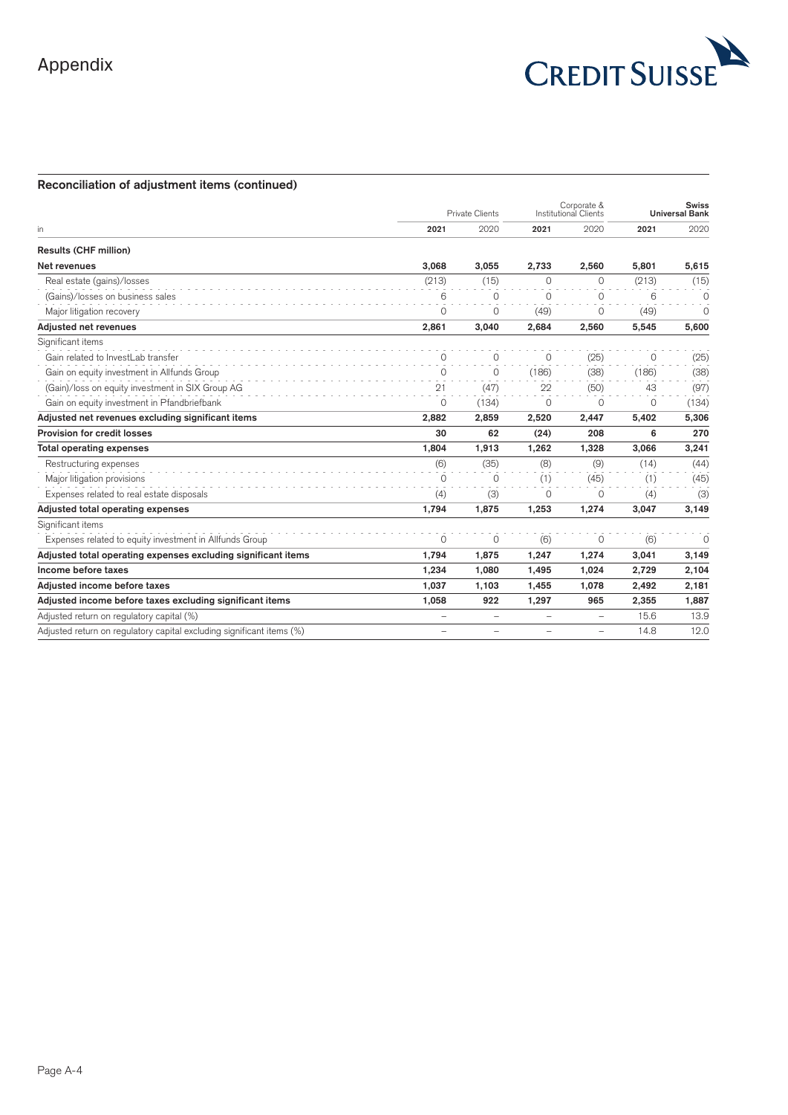

# **Reconciliation of adjustment items (continued)**

|                                                                       | <b>Private Clients</b>   |                          | Corporate &<br>Institutional Clients | <b>Swiss</b><br>Universal Bank |          |          |
|-----------------------------------------------------------------------|--------------------------|--------------------------|--------------------------------------|--------------------------------|----------|----------|
| in                                                                    | 2021                     | 2020                     | 2021                                 | 2020                           | 2021     | 2020     |
| Results (CHF million)                                                 |                          |                          |                                      |                                |          |          |
| Net revenues                                                          | 3,068                    | 3.055                    | 2,733                                | 2,560                          | 5,801    | 5,615    |
| Real estate (gains)/losses                                            | (213)                    | (15)                     | $\Omega$                             | $\Omega$                       | (213)    | (15)     |
| (Gains)/losses on business sales                                      | 6                        | $\Omega$                 | $\Omega$                             | $\Omega$                       | 6        | $\Omega$ |
| Major litigation recovery                                             | $\circ$                  | $\Omega$                 | (49)                                 | $\Omega$                       | (49)     | $\Omega$ |
| Adjusted net revenues                                                 | 2,861                    | 3,040                    | 2,684                                | 2,560                          | 5,545    | 5,600    |
| Significant items                                                     |                          |                          |                                      |                                |          |          |
| Gain related to InvestLab transfer                                    | $\Omega$                 | $\Omega$                 | $\Omega$                             | (25)                           | 0        | (25)     |
| Gain on equity investment in Allfunds Group                           | 0                        | $\Omega$                 | (186)                                | (38)                           | (186)    | (38)     |
| (Gain)/loss on equity investment in SIX Group AG                      | 21                       | (47)                     | 22                                   | (50)                           | 43       | (97)     |
| Gain on equity investment in Pfandbriefbank                           | $\Omega$                 | (134)                    | $\Omega$                             | $\Omega$                       | $\Omega$ | (134)    |
| Adjusted net revenues excluding significant items                     | 2,882                    | 2,859                    | 2,520                                | 2,447                          | 5,402    | 5,306    |
| Provision for credit losses                                           | 30                       | 62                       | (24)                                 | 208                            | 6        | 270      |
| <b>Total operating expenses</b>                                       | 1,804                    | 1,913                    | 1,262                                | 1,328                          | 3,066    | 3,241    |
| Restructuring expenses                                                | (6)                      | (35)                     | (8)                                  | (9)                            | (14)     | (44)     |
| Major litigation provisions                                           | $\Omega$                 | $\Omega$                 | (1)                                  | (45)                           | (1)      | (45)     |
| Expenses related to real estate disposals                             | (4)                      | (3)                      | 0                                    | 0                              | (4)      | (3)      |
| Adjusted total operating expenses                                     | 1.794                    | 1.875                    | 1.253                                | 1.274                          | 3.047    | 3,149    |
| Significant items                                                     |                          |                          |                                      |                                |          |          |
| Expenses related to equity investment in Allfunds Group               | $\circ$                  | $\Omega$                 | (6)                                  | 0                              | (6)      | $\circ$  |
| Adjusted total operating expenses excluding significant items         | 1.794                    | 1,875                    | 1,247                                | 1,274                          | 3,041    | 3,149    |
| Income before taxes                                                   | 1,234                    | 1.080                    | 1,495                                | 1,024                          | 2.729    | 2,104    |
| Adjusted income before taxes                                          | 1.037                    | 1.103                    | 1.455                                | 1.078                          | 2.492    | 2,181    |
| Adjusted income before taxes excluding significant items              | 1,058                    | 922                      | 1,297                                | 965                            | 2,355    | 1,887    |
| Adjusted return on regulatory capital (%)                             | $\overline{\phantom{0}}$ | $\overline{\phantom{0}}$ | ÷                                    | $\qquad \qquad -$              | 15.6     | 13.9     |
| Adjusted return on regulatory capital excluding significant items (%) | $\overline{\phantom{0}}$ | ÷,                       | $\overline{\phantom{0}}$             | $\overline{\phantom{a}}$       | 14.8     | 12.0     |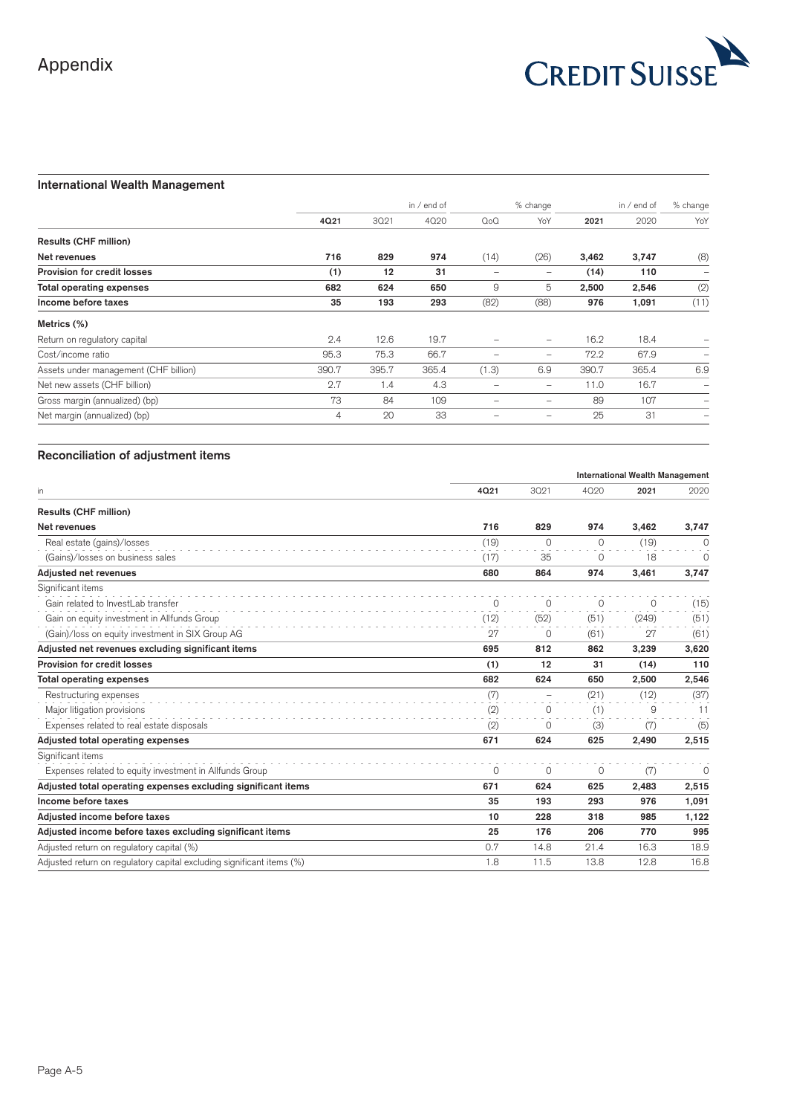

# **International Wealth Management**

|                                       |       |       | in / end of | % change         |                          | in $/$ end of |       | % change                 |
|---------------------------------------|-------|-------|-------------|------------------|--------------------------|---------------|-------|--------------------------|
|                                       | 4Q21  | 3021  | 4020        | Q <sub>0</sub> Q | YoY                      | 2021          | 2020  | YoY                      |
| Results (CHF million)                 |       |       |             |                  |                          |               |       |                          |
| Net revenues                          | 716   | 829   | 974         | (14)             | (26)                     | 3,462         | 3,747 | (8)                      |
| Provision for credit losses           | (1)   | 12    | 31          |                  |                          | (14)          | 110   | $\overline{\phantom{0}}$ |
| <b>Total operating expenses</b>       | 682   | 624   | 650         | 9                | 5                        | 2,500         | 2,546 | (2)                      |
| Income before taxes                   | 35    | 193   | 293         | (82)             | (88)                     | 976           | 1,091 | (11)                     |
| Metrics (%)                           |       |       |             |                  |                          |               |       |                          |
| Return on regulatory capital          | 2.4   | 12.6  | 19.7        |                  | $\qquad \qquad$          | 16.2          | 18.4  |                          |
| Cost/income ratio                     | 95.3  | 75.3  | 66.7        |                  | $\overline{\phantom{m}}$ | 72.2          | 67.9  |                          |
| Assets under management (CHF billion) | 390.7 | 395.7 | 365.4       | (1.3)            | 6.9                      | 390.7         | 365.4 | 6.9                      |
| Net new assets (CHF billion)          | 2.7   | 1.4   | 4.3         |                  | $\qquad \qquad$          | 11.0          | 16.7  |                          |
| Gross margin (annualized) (bp)        | 73    | 84    | 109         |                  |                          | 89            | 107   |                          |
| Net margin (annualized) (bp)          | 4     | 20    | 33          |                  | $\qquad \qquad -$        | 25            | 31    |                          |

|                                                                       |          |                   | <b>International Wealth Management</b> |          |          |
|-----------------------------------------------------------------------|----------|-------------------|----------------------------------------|----------|----------|
| in                                                                    | 4021     | 3021              | 4020                                   | 2021     | 2020     |
| <b>Results (CHF million)</b>                                          |          |                   |                                        |          |          |
| Net revenues                                                          | 716      | 829               | 974                                    | 3,462    | 3,747    |
| Real estate (gains)/losses                                            | (19)     | $\Omega$          | $\Omega$                               | (19)     | 0        |
| (Gains)/losses on business sales                                      | (17)     | 35                | $\circ$                                | 18       | $\Omega$ |
| Adjusted net revenues                                                 | 680      | 864               | 974                                    | 3,461    | 3,747    |
| Significant items                                                     |          |                   |                                        |          |          |
| Gain related to InvestLab transfer                                    | $\Omega$ | $\Omega$          | $\Omega$                               | $\Omega$ | (15)     |
| Gain on equity investment in Allfunds Group                           | (12)     | (52)              | (51)                                   | (249)    | (51)     |
| (Gain)/loss on equity investment in SIX Group AG                      | 27       | 0                 | (61)                                   | 27       | (61)     |
| Adjusted net revenues excluding significant items                     | 695      | 812               | 862                                    | 3,239    | 3,620    |
| Provision for credit losses                                           | (1)      | 12                | 31                                     | (14)     | 110      |
| <b>Total operating expenses</b>                                       | 682      | 624               | 650                                    | 2,500    | 2,546    |
| Restructuring expenses                                                | (7)      | $\qquad \qquad -$ | (21)                                   | (12)     | (37)     |
| Major litigation provisions                                           | (2)      | $\circ$           | (1)                                    | 9        | 11       |
| Expenses related to real estate disposals                             | (2)      | 0                 | (3)                                    | (7)      | (5)      |
| Adjusted total operating expenses                                     | 671      | 624               | 625                                    | 2,490    | 2,515    |
| Significant items                                                     |          |                   |                                        |          |          |
| Expenses related to equity investment in Allfunds Group               | $\Omega$ | $\Omega$          | $\circ$                                | (7)      | $\circ$  |
| Adjusted total operating expenses excluding significant items         | 671      | 624               | 625                                    | 2,483    | 2,515    |
| Income before taxes                                                   | 35       | 193               | 293                                    | 976      | 1,091    |
| Adjusted income before taxes                                          | 10       | 228               | 318                                    | 985      | 1,122    |
| Adjusted income before taxes excluding significant items              | 25       | 176               | 206                                    | 770      | 995      |
| Adjusted return on regulatory capital (%)                             | 0.7      | 14.8              | 21.4                                   | 16.3     | 18.9     |
| Adjusted return on regulatory capital excluding significant items (%) | 1.8      | 11.5              | 13.8                                   | 12.8     | 16.8     |
|                                                                       |          |                   |                                        |          |          |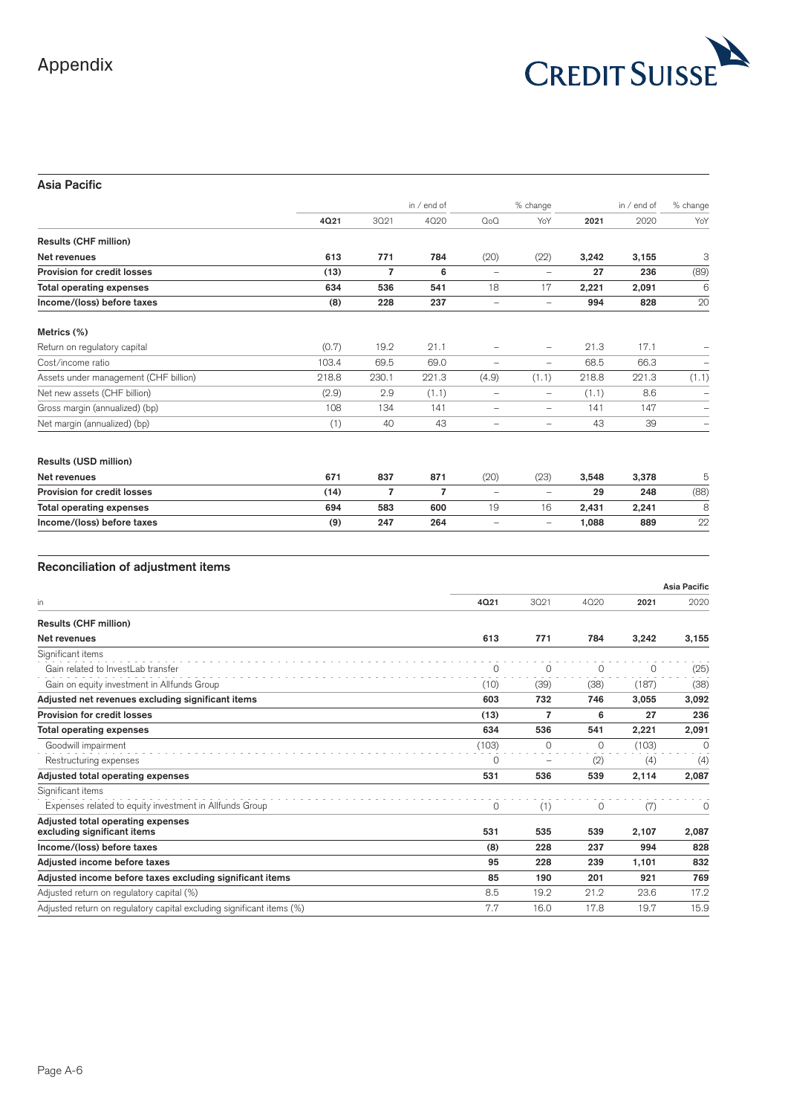

# **Asia Pacific**

|                                       |       |                | in / end of    | % change                 |                          | in / end of |       | % change |
|---------------------------------------|-------|----------------|----------------|--------------------------|--------------------------|-------------|-------|----------|
|                                       | 4021  | 3021           | 4020           | $Q_0Q$                   | YoY                      | 2021        | 2020  | YoY      |
| <b>Results (CHF million)</b>          |       |                |                |                          |                          |             |       |          |
| Net revenues                          | 613   | 771            | 784            | (20)                     | (22)                     | 3,242       | 3,155 | 3        |
| Provision for credit losses           | (13)  | $\overline{7}$ | 6              | $\overline{\phantom{m}}$ | $\qquad \qquad -$        | 27          | 236   | (89)     |
| <b>Total operating expenses</b>       | 634   | 536            | 541            | 18                       | 17                       | 2,221       | 2,091 | 6        |
| Income/(loss) before taxes            | (8)   | 228            | 237            | -                        | $\qquad \qquad -$        | 994         | 828   | 20       |
| Metrics (%)                           |       |                |                |                          |                          |             |       |          |
| Return on regulatory capital          | (0.7) | 19.2           | 21.1           |                          | $\overline{\phantom{0}}$ | 21.3        | 17.1  |          |
| Cost/income ratio                     | 103.4 | 69.5           | 69.0           | $\overline{\phantom{0}}$ | $\qquad \qquad -$        | 68.5        | 66.3  |          |
| Assets under management (CHF billion) | 218.8 | 230.1          | 221.3          | (4.9)                    | (1.1)                    | 218.8       | 221.3 | (1.1)    |
| Net new assets (CHF billion)          | (2.9) | 2.9            | (1.1)          | -                        | $\overline{\phantom{m}}$ | (1.1)       | 8.6   |          |
| Gross margin (annualized) (bp)        | 108   | 134            | 141            | $\overline{\phantom{0}}$ | $\overline{\phantom{0}}$ | 141         | 147   |          |
| Net margin (annualized) (bp)          | (1)   | 40             | 43             | $\overline{\phantom{0}}$ | $\overline{\phantom{0}}$ | 43          | 39    |          |
| Results (USD million)                 |       |                |                |                          |                          |             |       |          |
| Net revenues                          | 671   | 837            | 871            | (20)                     | (23)                     | 3,548       | 3,378 | 5        |
| <b>Provision for credit losses</b>    | (14)  | $\overline{7}$ | $\overline{7}$ | $\qquad \qquad -$        | $\overline{\phantom{m}}$ | 29          | 248   | (88)     |
| <b>Total operating expenses</b>       | 694   | 583            | 600            | 19                       | 16                       | 2,431       | 2,241 | 8        |
| Income/(loss) before taxes            | (9)   | 247            | 264            |                          | $\overline{\phantom{0}}$ | 1,088       | 889   | 22       |

| 4Q21    | 3021              |          |         |          |
|---------|-------------------|----------|---------|----------|
|         |                   | 4020     | 2021    | 2020     |
|         |                   |          |         |          |
| 613     | 771               | 784      | 3,242   | 3,155    |
|         |                   |          |         |          |
| $\circ$ | $\circ$           | 0        | $\circ$ | (25)     |
| (10)    | (39)              | (38)     | (187)   | (38)     |
| 603     | 732               | 746      | 3,055   | 3,092    |
| (13)    | $\overline{7}$    | 6        | 27      | 236      |
| 634     | 536               | 541      | 2,221   | 2,091    |
| (103)   | $\Omega$          | $\Omega$ | (103)   | $\Omega$ |
| 0       | $\qquad \qquad -$ | (2)      | (4)     | (4)      |
| 531     | 536               | 539      | 2,114   | 2,087    |
|         |                   |          |         |          |
| $\circ$ | (1)               | $\circ$  | (7)     | $\circ$  |
| 531     | 535               | 539      | 2,107   | 2,087    |
| (8)     | 228               | 237      | 994     | 828      |
| 95      | 228               | 239      | 1,101   | 832      |
| 85      | 190               | 201      | 921     | 769      |
| 8.5     | 19.2              | 21.2     | 23.6    | 17.2     |
| 7.7     | 16.0              | 17.8     | 19.7    | 15.9     |
|         |                   |          |         |          |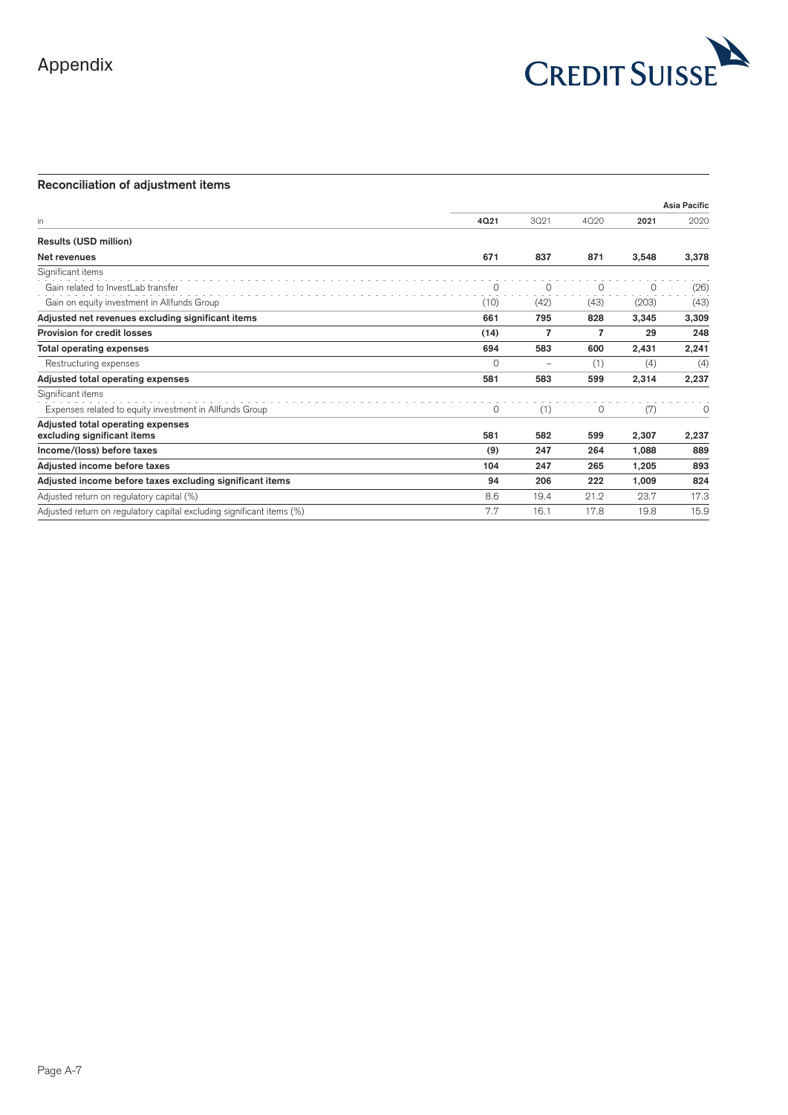

|          |                   |      |       | <b>Asia Pacific</b> |
|----------|-------------------|------|-------|---------------------|
| 4Q21     | 3021              | 4020 | 2021  | 2020                |
|          |                   |      |       |                     |
| 671      | 837               | 871  | 3,548 | 3,378               |
|          |                   |      |       |                     |
| 0        | 0                 | 0    | 0     | (26)                |
| (10)     | (42)              | (43) | (203) | (43)                |
| 661      | 795               | 828  | 3,345 | 3,309               |
| (14)     | $\overline{7}$    | 7    | 29    | 248                 |
| 694      | 583               | 600  | 2,431 | 2,241               |
| $\Omega$ | $\qquad \qquad -$ | (1)  | (4)   | (4)                 |
| 581      | 583               | 599  | 2,314 | 2,237               |
|          |                   |      |       |                     |
| 0        | (1)               | 0    | (7)   | $\circ$             |
|          |                   |      |       |                     |
|          |                   |      |       | 2,237               |
| (9)      | 247               | 264  | 1,088 | 889                 |
| 104      | 247               | 265  | 1,205 | 893                 |
| 94       | 206               | 222  | 1,009 | 824                 |
| 8.6      | 19.4              | 21.2 | 23.7  | 17.3                |
| 7.7      | 16.1              | 17.8 | 19.8  | 15.9                |
|          | 581               | 582  | 599   | 2,307               |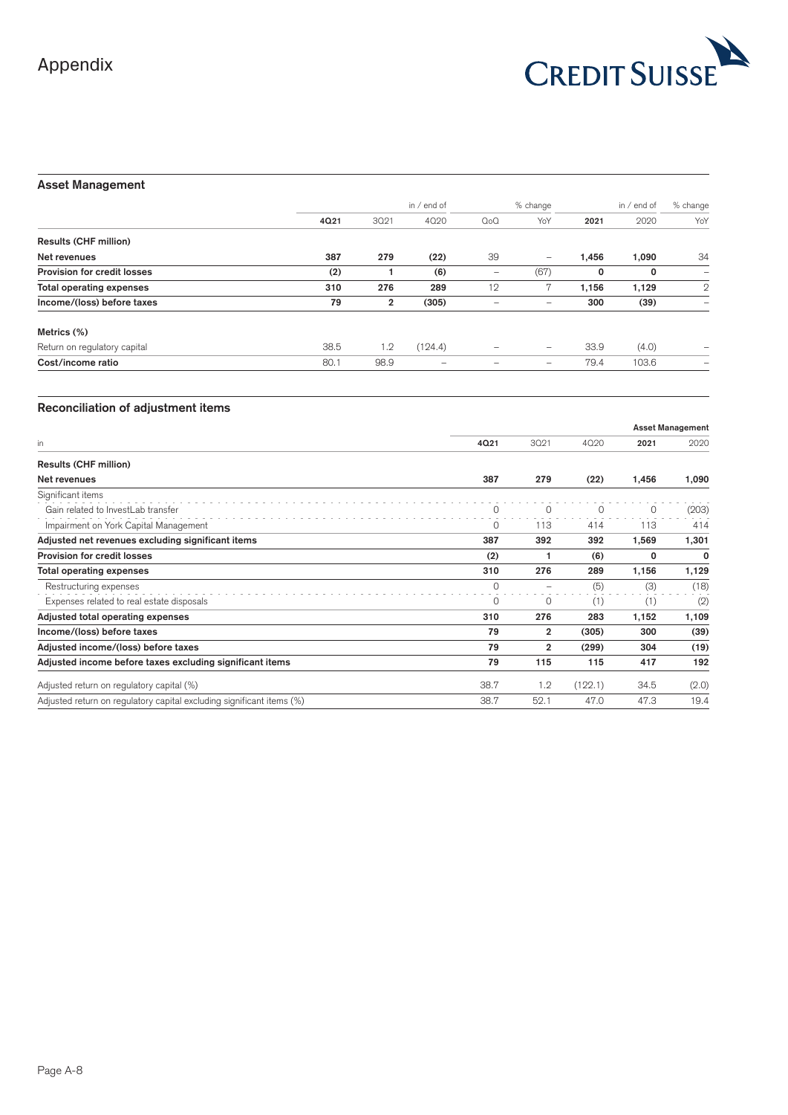

# **Asset Management**

|                                    |      |                | in $/$ end of |                          | % change                 | in / end of |       | % change     |
|------------------------------------|------|----------------|---------------|--------------------------|--------------------------|-------------|-------|--------------|
|                                    | 4021 | 3021           | 4020          | $Q_0Q$                   | YoY                      | 2021        | 2020  | YoY          |
| <b>Results (CHF million)</b>       |      |                |               |                          |                          |             |       |              |
| Net revenues                       | 387  | 279            | (22)          | 39                       | $\qquad \qquad -$        | 1,456       | 1,090 | 34           |
| <b>Provision for credit losses</b> | (2)  |                | (6)           | $\overline{\phantom{a}}$ | (67)                     | 0           | 0     | -            |
| <b>Total operating expenses</b>    | 310  | 276            | 289           | 12                       |                          | 1.156       | 1,129 | $\mathbf{2}$ |
| Income/(loss) before taxes         | 79   | $\overline{2}$ | (305)         | -                        | $\overline{\phantom{a}}$ | 300         | (39)  |              |
| Metrics (%)                        |      |                |               |                          |                          |             |       |              |
| Return on regulatory capital       | 38.5 | 1.2            | (124.4)       |                          | $\overline{\phantom{m}}$ | 33.9        | (4.0) |              |
| Cost/income ratio                  | 80.1 | 98.9           | -             |                          | $\overline{\phantom{a}}$ | 79.4        | 103.6 | -            |

|                                                                       |          |                |          |         | <b>Asset Management</b> |  |
|-----------------------------------------------------------------------|----------|----------------|----------|---------|-------------------------|--|
| in                                                                    | 4021     | 3021           | 4020     | 2021    | 2020                    |  |
| <b>Results (CHF million)</b>                                          |          |                |          |         |                         |  |
| Net revenues                                                          | 387      | 279            | (22)     | 1,456   | 1,090                   |  |
| Significant items                                                     |          |                |          |         |                         |  |
| Gain related to InvestLab transfer                                    |          | $\Omega$       | $\Omega$ | $\circ$ | (203)                   |  |
| Impairment on York Capital Management                                 | 0        | 113            | 414      | 113     | 414                     |  |
| Adjusted net revenues excluding significant items                     | 387      | 392            | 392      | 1,569   | 1,301                   |  |
| Provision for credit losses                                           | (2)      |                | (6)      | 0       | $\Omega$                |  |
| <b>Total operating expenses</b>                                       | 310      | 276            | 289      | 1,156   | 1,129                   |  |
| Restructuring expenses                                                | $\Omega$ |                | (5)      | (3)     | (18)                    |  |
| Expenses related to real estate disposals                             | $\Omega$ | $\Omega$       | (1)      | (1)     | (2)                     |  |
| Adjusted total operating expenses                                     | 310      | 276            | 283      | 1,152   | 1,109                   |  |
| Income/(loss) before taxes                                            | 79       | $\overline{2}$ | (305)    | 300     | (39)                    |  |
| Adjusted income/(loss) before taxes                                   | 79       | $\overline{2}$ | (299)    | 304     | (19)                    |  |
| Adjusted income before taxes excluding significant items              | 79       | 115            | 115      | 417     | 192                     |  |
| Adjusted return on regulatory capital (%)                             | 38.7     | 1.2            | (122.1)  | 34.5    | (2.0)                   |  |
| Adjusted return on regulatory capital excluding significant items (%) | 38.7     | 52.1           | 47.0     | 47.3    | 19.4                    |  |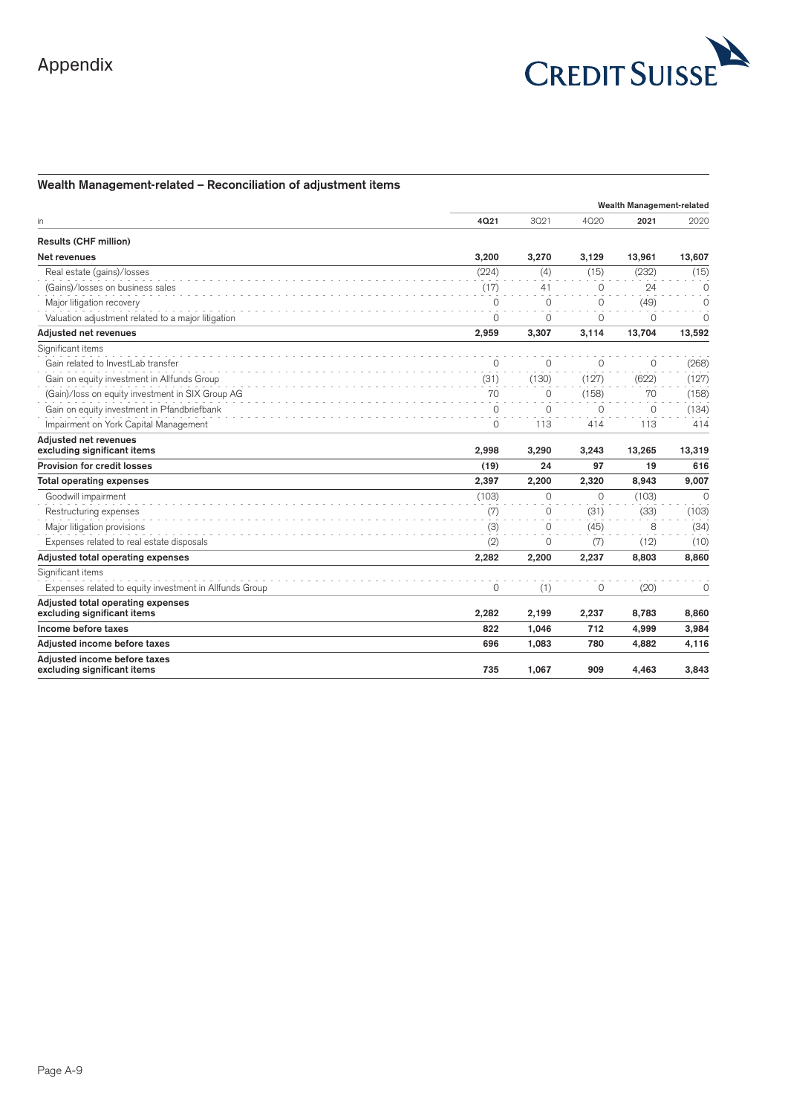

# **Wealth Management-related – Reconciliation of adjustment items**

|                                                                  |          | Wealth Management-related |          |          |             |
|------------------------------------------------------------------|----------|---------------------------|----------|----------|-------------|
| in                                                               | 4021     | 3021                      | 4020     | 2021     | 2020        |
| <b>Results (CHF million)</b>                                     |          |                           |          |          |             |
| Net revenues                                                     | 3.200    | 3.270                     | 3.129    | 13,961   | 13,607      |
| Real estate (gains)/losses                                       | (224)    | (4)                       | (15)     | (232)    | (15)        |
| (Gains)/losses on business sales                                 | (17)     | 41                        | $\Omega$ | 24       | $\Omega$    |
| Major litigation recovery                                        | $\Omega$ | $\Omega$                  | $\Omega$ | (49)     | $\Omega$    |
| Valuation adjustment related to a major litigation               | $\Omega$ | $\Omega$                  | $\circ$  | $\Omega$ | 0           |
| Adiusted net revenues                                            | 2,959    | 3,307                     | 3.114    | 13.704   | 13,592      |
| Significant items                                                |          |                           |          |          |             |
| Gain related to InvestLab transfer                               | $\Omega$ | $\Omega$                  | $\Omega$ | $\Omega$ | (268)       |
| Gain on equity investment in Allfunds Group                      | (31)     | (130)                     | (127)    | (622)    | (127)       |
| (Gain)/loss on equity investment in SIX Group AG                 | 70       | 0                         | (158)    | 70       | (158)       |
| Gain on equity investment in Pfandbriefbank                      | $\Omega$ | $\Omega$                  | $\Omega$ | $\Omega$ | (134)       |
| Impairment on York Capital Management                            | $\Omega$ | 113                       | 414      | 113      | 414         |
| Adiusted net revenues<br>excluding significant items             | 2.998    | 3,290                     | 3,243    | 13,265   | 13,319      |
| Provision for credit losses                                      | (19)     | 24                        | 97       | 19       | 616         |
| <b>Total operating expenses</b>                                  | 2,397    | 2,200                     | 2,320    | 8,943    | 9,007       |
| Goodwill impairment                                              | (103)    | 0                         | $\circ$  | (103)    | $\mathbf 0$ |
| Restructuring expenses                                           | (7)      | $\Omega$                  | (31)     | (33)     | (103)       |
| Major litigation provisions                                      | (3)      | $\Omega$                  | (45)     | 8        | (34)        |
| Expenses related to real estate disposals                        | (2)      | $\Omega$                  | (7)      | (12)     | (10)        |
| Adjusted total operating expenses                                | 2,282    | 2,200                     | 2,237    | 8,803    | 8,860       |
| Significant items                                                |          |                           |          |          |             |
| Expenses related to equity investment in Allfunds Group          | $\Omega$ | (1)                       | 0        | (20)     | $\Omega$    |
| Adjusted total operating expenses<br>excluding significant items | 2,282    | 2,199                     | 2,237    | 8,783    | 8,860       |
| Income before taxes                                              | 822      | 1,046                     | 712      | 4,999    | 3,984       |
| Adiusted income before taxes                                     | 696      | 1.083                     | 780      | 4.882    | 4,116       |
| Adiusted income before taxes<br>excluding significant items      | 735      | 1,067                     | 909      | 4,463    | 3,843       |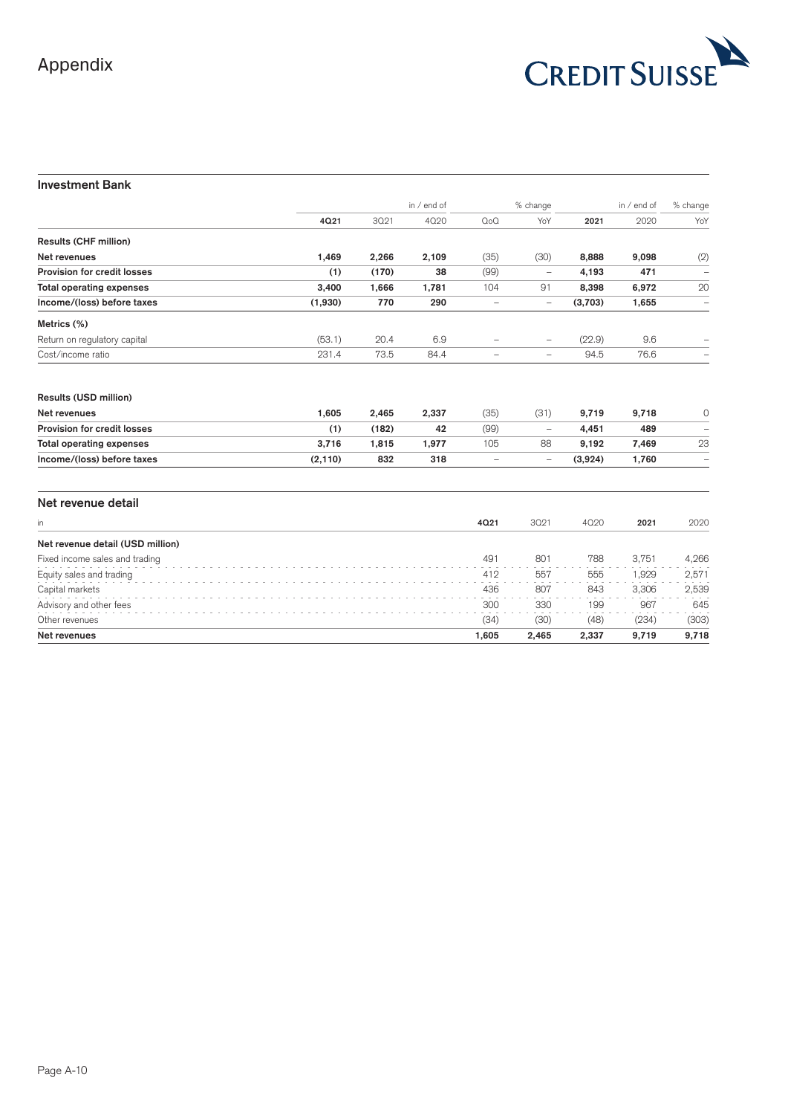

# **Investment Bank**

|                                    |          |       | in / end of |                          | % change                 |         | in / end of | % change                 |
|------------------------------------|----------|-------|-------------|--------------------------|--------------------------|---------|-------------|--------------------------|
|                                    | 4021     | 3021  | 4020        | $Q_0Q$                   | YoY                      | 2021    | 2020        | YoY                      |
| <b>Results (CHF million)</b>       |          |       |             |                          |                          |         |             |                          |
| Net revenues                       | 1,469    | 2,266 | 2,109       | (35)                     | (30)                     | 8,888   | 9,098       | (2)                      |
| Provision for credit losses        | (1)      | (170) | 38          | (99)                     |                          | 4,193   | 471         |                          |
| <b>Total operating expenses</b>    | 3,400    | 1,666 | 1,781       | 104                      | 91                       | 8,398   | 6,972       | 20                       |
| Income/(loss) before taxes         | (1,930)  | 770   | 290         | $\qquad \qquad -$        | $\qquad \qquad -$        | (3,703) | 1,655       | $\overline{\phantom{0}}$ |
| Metrics (%)                        |          |       |             |                          |                          |         |             |                          |
| Return on regulatory capital       | (53.1)   | 20.4  | 6.9         | $\overline{\phantom{0}}$ | $\overline{\phantom{0}}$ | (22.9)  | 9.6         |                          |
| Cost/income ratio                  | 231.4    | 73.5  | 84.4        | $\qquad \qquad -$        | $\qquad \qquad -$        | 94.5    | 76.6        |                          |
| Results (USD million)              |          |       |             |                          |                          |         |             |                          |
| Net revenues                       | 1,605    | 2,465 | 2,337       | (35)                     | (31)                     | 9,719   | 9,718       | 0                        |
| <b>Provision for credit losses</b> | (1)      | (182) | 42          | (99)                     | $\overline{\phantom{0}}$ | 4,451   | 489         |                          |
| <b>Total operating expenses</b>    | 3,716    | 1,815 | 1,977       | 105                      | 88                       | 9,192   | 7,469       | 23                       |
| Income/(loss) before taxes         | (2, 110) | 832   | 318         | $\qquad \qquad -$        | $\qquad \qquad -$        | (3,924) | 1,760       | -                        |
| Net revenue detail                 |          |       |             |                          |                          |         |             |                          |
| in                                 |          |       |             | 4021                     | 3021                     | 4020    | 2021        | 2020                     |
| Net revenue detail (USD million)   |          |       |             |                          |                          |         |             |                          |
| Fixed income sales and trading     |          |       |             | 491                      | 801                      | 788     | 3,751       | 4,266                    |
| Equity sales and trading           |          |       |             | 412                      | 557                      | 555     | 1,929       | 2,571                    |
| Capital markets                    |          |       |             | 436                      | 807                      | 843     | 3,306       | 2,539                    |
| Advisory and other fees            |          |       |             | 300                      | 330                      | 199     | 967         | 645                      |
| Other revenues                     |          |       |             | (34)                     | (30)                     | (48)    | (234)       | (303)                    |
| Net revenues                       |          |       |             | 1,605                    | 2,465                    | 2,337   | 9,719       | 9,718                    |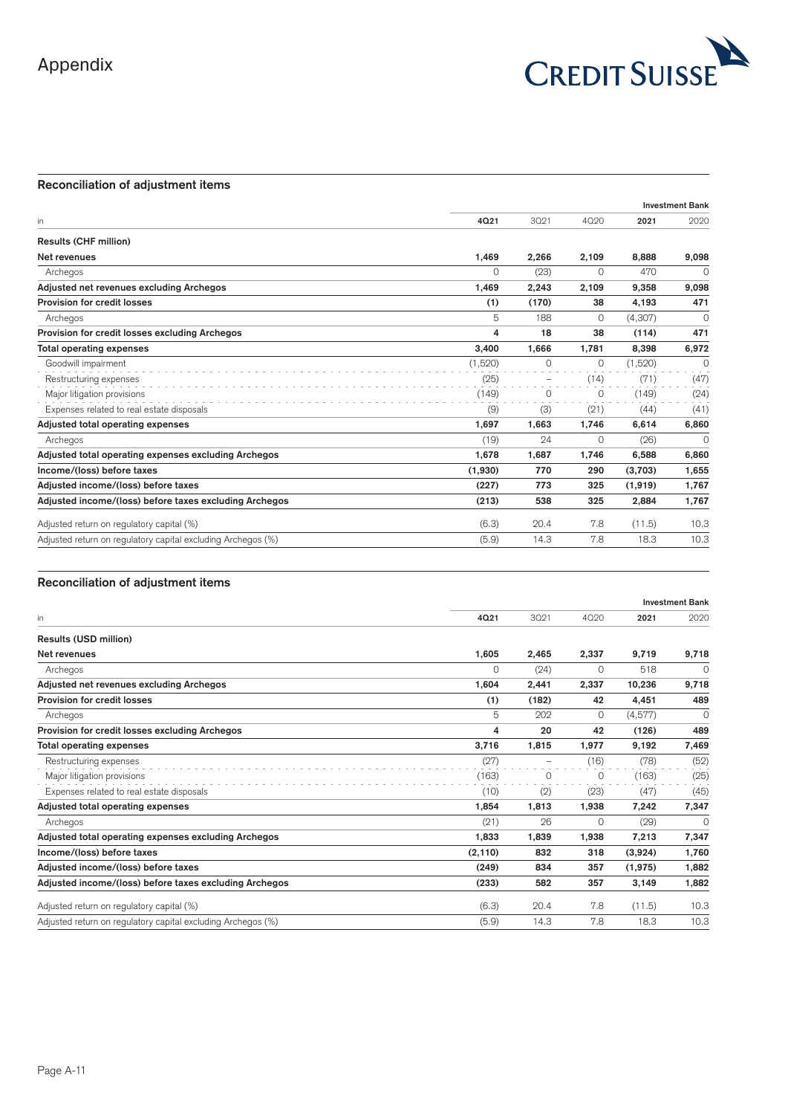

# **Reconciliation of adjustment items**

| 3021<br>2.266<br>(23)<br>2,243<br>(170)<br>188 | 4020<br>2,109<br>$\Omega$<br>2,109<br>38 | 2021<br>8.888<br>470<br>9,358<br>4,193 | 2020<br>9,098<br>$\Omega$<br>9,098 |
|------------------------------------------------|------------------------------------------|----------------------------------------|------------------------------------|
|                                                |                                          |                                        |                                    |
|                                                |                                          |                                        |                                    |
|                                                |                                          |                                        |                                    |
|                                                |                                          |                                        |                                    |
|                                                |                                          |                                        |                                    |
|                                                |                                          |                                        | 471                                |
|                                                |                                          | (4,307)                                | $\Omega$                           |
|                                                | 38                                       | (114)                                  | 471                                |
| 1.666                                          | 1,781                                    | 8.398                                  | 6,972                              |
| $\Omega$                                       | 0                                        | (1,520)                                | $\Omega$                           |
| -                                              | (14)                                     | (71)                                   | (47)                               |
| $\Omega$                                       | $\Omega$                                 | (149)                                  | (24)                               |
| (3)                                            | (21)                                     | (44)                                   | (41)                               |
| 1,663                                          | 1,746                                    | 6,614                                  | 6,860                              |
| 24                                             | $\Omega$                                 | (26)                                   | $\Omega$                           |
| 1,687                                          | 1,746                                    | 6,588                                  | 6,860                              |
| 770                                            | 290                                      | (3,703)                                | 1,655                              |
| 773                                            | 325                                      | (1,919)                                | 1,767                              |
| 538                                            | 325                                      | 2,884                                  | 1,767                              |
| 20.4                                           | 7.8                                      | (11.5)                                 | 10.3                               |
| 14.3                                           | 7.8                                      | 18.3                                   | 10.3                               |
|                                                | 18                                       | $\Omega$                               |                                    |

|                                                              |          |                          |          |         | <b>Investment Bank</b> |  |
|--------------------------------------------------------------|----------|--------------------------|----------|---------|------------------------|--|
| in                                                           | 4021     | 3021                     | 4020     | 2021    | 2020                   |  |
| <b>Results (USD million)</b>                                 |          |                          |          |         |                        |  |
| Net revenues                                                 | 1.605    | 2,465                    | 2,337    | 9.719   | 9,718                  |  |
| Archegos                                                     | $\Omega$ | (24)                     | $\Omega$ | 518     | $\Omega$               |  |
| Adjusted net revenues excluding Archegos                     | 1,604    | 2,441                    | 2,337    | 10,236  | 9,718                  |  |
| Provision for credit losses                                  | (1)      | (182)                    | 42       | 4,451   | 489                    |  |
| Archegos                                                     | 5        | 202                      | $\circ$  | (4,577) | 0                      |  |
| Provision for credit losses excluding Archegos               | 4        | 20                       | 42       | (126)   | 489                    |  |
| <b>Total operating expenses</b>                              | 3,716    | 1,815                    | 1,977    | 9,192   | 7,469                  |  |
| Restructuring expenses                                       | (27)     | $\overline{\phantom{m}}$ | (16)     | (78)    | (52)                   |  |
| Major litigation provisions                                  | (163)    | 0                        | 0        | (163)   | (25)                   |  |
| Expenses related to real estate disposals                    | (10)     | (2)                      | (23)     | (47)    | (45)                   |  |
| Adjusted total operating expenses                            | 1.854    | 1,813                    | 1,938    | 7,242   | 7,347                  |  |
| Archegos                                                     | (21)     | 26                       | $\Omega$ | (29)    | $\Omega$               |  |
| Adjusted total operating expenses excluding Archegos         | 1.833    | 1,839                    | 1,938    | 7,213   | 7,347                  |  |
| Income/(loss) before taxes                                   | (2, 110) | 832                      | 318      | (3,924) | 1,760                  |  |
| Adjusted income/(loss) before taxes                          | (249)    | 834                      | 357      | (1,975) | 1,882                  |  |
| Adjusted income/(loss) before taxes excluding Archegos       | (233)    | 582                      | 357      | 3,149   | 1,882                  |  |
| Adjusted return on regulatory capital (%)                    | (6.3)    | 20.4                     | 7.8      | (11.5)  | 10.3                   |  |
| Adjusted return on regulatory capital excluding Archegos (%) | (5.9)    | 14.3                     | 7.8      | 18.3    | 10.3                   |  |
|                                                              |          |                          |          |         |                        |  |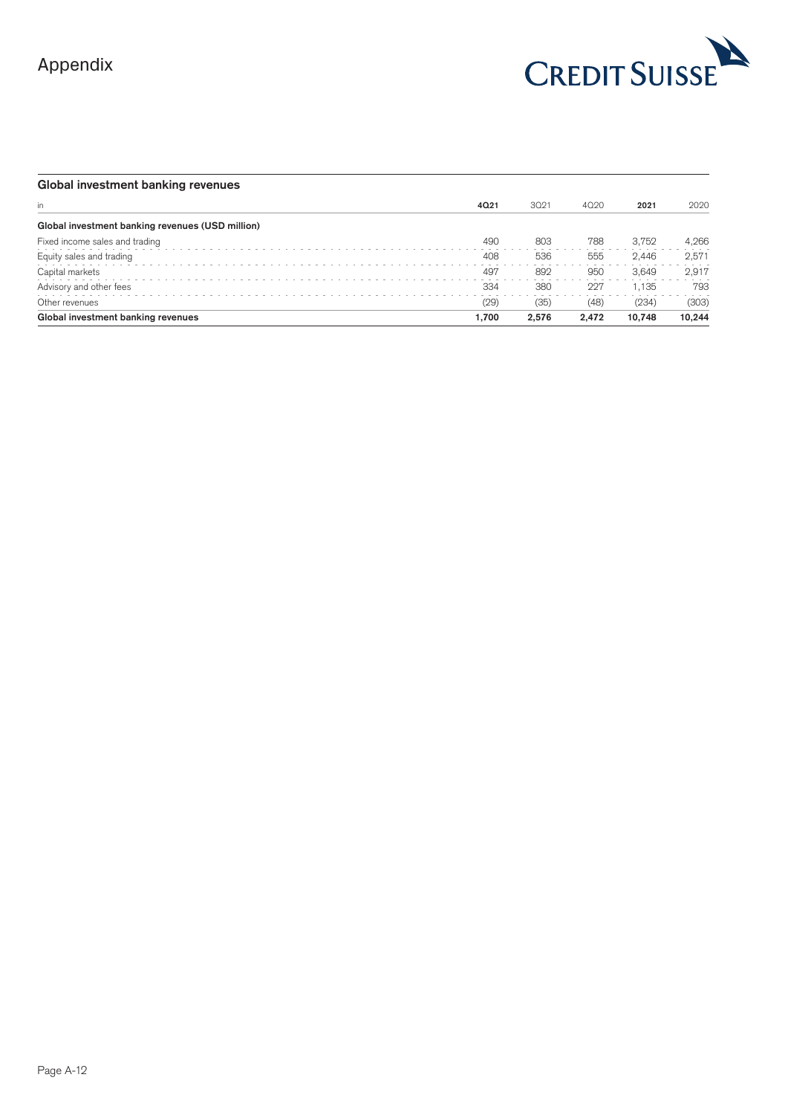

| Global investment banking revenues               |       |       |       |        |        |
|--------------------------------------------------|-------|-------|-------|--------|--------|
| in.                                              | 4021  | 3021  | 4020  | 2021   | 2020   |
| Global investment banking revenues (USD million) |       |       |       |        |        |
| Fixed income sales and trading                   | 490   | 803   | 788   | 3.752  | 4,266  |
| Equity sales and trading                         | 408   | 536   | 555   | 2.446  | 2,571  |
| Capital markets                                  | 497   | 892   | 950   | 3.649  | 2.917  |
| Advisory and other fees                          | 334   | 380   | 227   | 1.135  | 793    |
| Other revenues                                   | (29)  | (35)  | (48)  | (234)  | (303)  |
| Global investment banking revenues               | 1.700 | 2.576 | 2.472 | 10,748 | 10,244 |